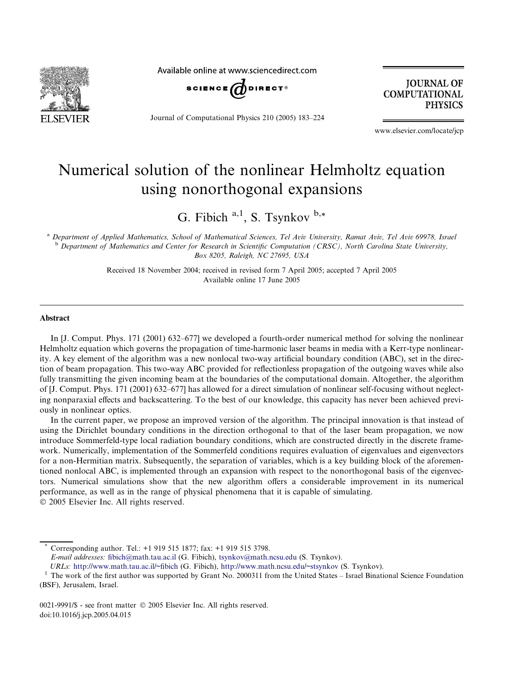

Available online at www.sciencedirect.com



Journal of Computational Physics 210 (2005) 183–224

**JOURNAL OF COMPUTATIONAL PHYSICS** 

www.elsevier.com/locate/jcp

# Numerical solution of the nonlinear Helmholtz equation using nonorthogonal expansions

G. Fibich  $a,1$ , S. Tsynkov  $b,*$ 

a Department of Applied Mathematics, School of Mathematical Sciences, Tel Aviv University, Ramat Aviv, Tel Aviv 69978, Israel <sup>b</sup> Department of Mathematics and Center for Research in Scientific Computation (CRSC), North Carolina State University, Box 8205, Raleigh, NC 27695, USA

> Received 18 November 2004; received in revised form 7 April 2005; accepted 7 April 2005 Available online 17 June 2005

#### Abstract

In [J. Comput. Phys. 171 (2001) 632–677] we developed a fourth-order numerical method for solving the nonlinear Helmholtz equation which governs the propagation of time-harmonic laser beams in media with a Kerr-type nonlinearity. A key element of the algorithm was a new nonlocal two-way artificial boundary condition (ABC), set in the direction of beam propagation. This two-way ABC provided for reflectionless propagation of the outgoing waves while also fully transmitting the given incoming beam at the boundaries of the computational domain. Altogether, the algorithm of [J. Comput. Phys. 171 (2001) 632–677] has allowed for a direct simulation of nonlinear self-focusing without neglecting nonparaxial effects and backscattering. To the best of our knowledge, this capacity has never been achieved previously in nonlinear optics.

In the current paper, we propose an improved version of the algorithm. The principal innovation is that instead of using the Dirichlet boundary conditions in the direction orthogonal to that of the laser beam propagation, we now introduce Sommerfeld-type local radiation boundary conditions, which are constructed directly in the discrete framework. Numerically, implementation of the Sommerfeld conditions requires evaluation of eigenvalues and eigenvectors for a non-Hermitian matrix. Subsequently, the separation of variables, which is a key building block of the aforementioned nonlocal ABC, is implemented through an expansion with respect to the nonorthogonal basis of the eigenvectors. Numerical simulations show that the new algorithm offers a considerable improvement in its numerical performance, as well as in the range of physical phenomena that it is capable of simulating. 2005 Elsevier Inc. All rights reserved.

Corresponding author. Tel.: +1 919 515 1877; fax: +1 919 515 3798.

E-mail addresses: [fibich@math.tau.ac.il](mailto:fibich@math.tau.ac.il) (G. Fibich), [tsynkov@math.ncsu.edu](mailto:tsynkov@math.ncsu.edu) (S. Tsynkov).

0021-9991/\$ - see front matter © 2005 Elsevier Inc. All rights reserved. doi:10.1016/j.jcp.2005.04.015

URLs: <http://www.math.tau.ac.il/~fibich> (G. Fibich), <http://www.math.ncsu.edu/~stsynkov> (S. Tsynkov).<br><sup>1</sup> The work of the first author was supported by Grant No. 2000311 from the United States – Israel Binational Science (BSF), Jerusalem, Israel.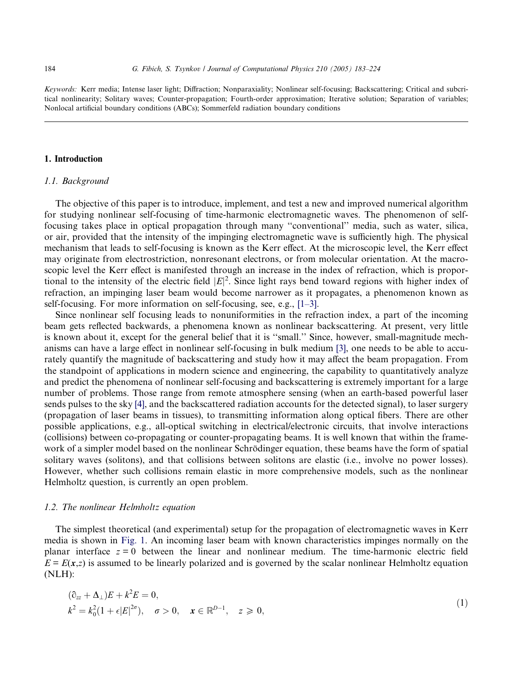<span id="page-1-0"></span>Keywords: Kerr media; Intense laser light; Diffraction; Nonparaxiality; Nonlinear self-focusing; Backscattering; Critical and subcritical nonlinearity; Solitary waves; Counter-propagation; Fourth-order approximation; Iterative solution; Separation of variables; Nonlocal artificial boundary conditions (ABCs); Sommerfeld radiation boundary conditions

#### 1. Introduction

#### 1.1. Background

The objective of this paper is to introduce, implement, and test a new and improved numerical algorithm for studying nonlinear self-focusing of time-harmonic electromagnetic waves. The phenomenon of selffocusing takes place in optical propagation through many ''conventional'' media, such as water, silica, or air, provided that the intensity of the impinging electromagnetic wave is sufficiently high. The physical mechanism that leads to self-focusing is known as the Kerr effect. At the microscopic level, the Kerr effect may originate from electrostriction, nonresonant electrons, or from molecular orientation. At the macroscopic level the Kerr effect is manifested through an increase in the index of refraction, which is proportional to the intensity of the electric field  $|E|^2$ . Since light rays bend toward regions with higher index of refraction, an impinging laser beam would become narrower as it propagates, a phenomenon known as self-focusing. For more information on self-focusing, see, e.g., [\[1–3\]](#page-40-0).

Since nonlinear self focusing leads to nonuniformities in the refraction index, a part of the incoming beam gets reflected backwards, a phenomena known as nonlinear backscattering. At present, very little is known about it, except for the general belief that it is ''small.'' Since, however, small-magnitude mechanisms can have a large effect in nonlinear self-focusing in bulk medium [\[3\],](#page-40-0) one needs to be able to accurately quantify the magnitude of backscattering and study how it may affect the beam propagation. From the standpoint of applications in modern science and engineering, the capability to quantitatively analyze and predict the phenomena of nonlinear self-focusing and backscattering is extremely important for a large number of problems. Those range from remote atmosphere sensing (when an earth-based powerful laser sends pulses to the sky [\[4\],](#page-40-0) and the backscattered radiation accounts for the detected signal), to laser surgery (propagation of laser beams in tissues), to transmitting information along optical fibers. There are other possible applications, e.g., all-optical switching in electrical/electronic circuits, that involve interactions (collisions) between co-propagating or counter-propagating beams. It is well known that within the framework of a simpler model based on the nonlinear Schrödinger equation, these beams have the form of spatial solitary waves (solitons), and that collisions between solitons are elastic (i.e., involve no power losses). However, whether such collisions remain elastic in more comprehensive models, such as the nonlinear Helmholtz question, is currently an open problem.

# 1.2. The nonlinear Helmholtz equation

The simplest theoretical (and experimental) setup for the propagation of electromagnetic waves in Kerr media is shown in [Fig. 1](#page-2-0). An incoming laser beam with known characteristics impinges normally on the planar interface  $z = 0$  between the linear and nonlinear medium. The time-harmonic electric field  $E = E(x,z)$  is assumed to be linearly polarized and is governed by the scalar nonlinear Helmholtz equation (NLH):

$$
(\partial_{zz} + \Delta_{\perp})E + k^2 E = 0,
$$
  
\n
$$
k^2 = k_0^2 (1 + \epsilon |E|^{2\sigma}), \quad \sigma > 0, \quad x \in \mathbb{R}^{D-1}, \quad z \ge 0,
$$
\n(1)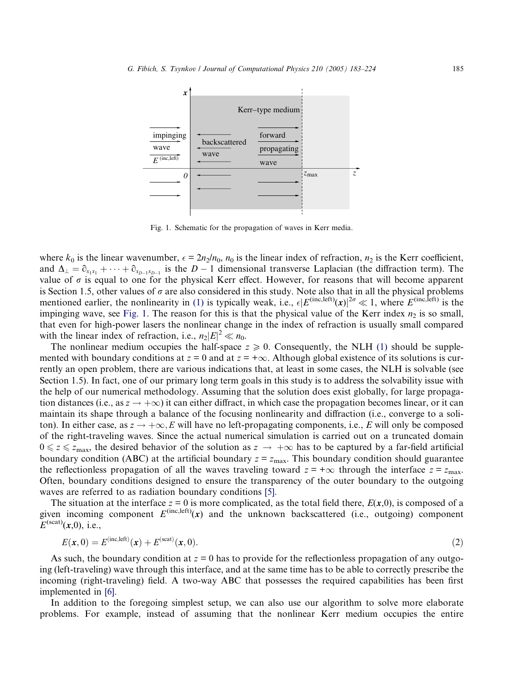<span id="page-2-0"></span>

Fig. 1. Schematic for the propagation of waves in Kerr media.

where  $k_0$  is the linear wavenumber,  $\epsilon = 2n_2/n_0$ ,  $n_0$  is the linear index of refraction,  $n_2$  is the Kerr coefficient, and  $\Delta_{\perp} = \partial_{x_1x_1} + \cdots + \partial_{x_{D-1}x_{D-1}}$  is the  $D-1$  dimensional transverse Laplacian (the diffraction term). The value of  $\sigma$  is equal to one for the physical Kerr effect. However, for reasons that will become apparent is Section 1.5, other values of  $\sigma$  are also considered in this study. Note also that in all the physical problems mentioned earlier, the nonlinearity in [\(1\)](#page-1-0) is typically weak, i.e.,  $\epsilon |E^{(\text{inc},\text{left})}(x)|^{2\sigma} \ll 1$ , where  $E^{(\text{inc},\text{left})}$  is the impinging wave, see Fig. 1. The reason for this is that the physical value of the Kerr index  $n_2$  is so small, that even for high-power lasers the nonlinear change in the index of refraction is usually small compared with the linear index of refraction, i.e.,  $n_2|E|^2 \ll n_0$ .

The nonlinear medium occupies the half-space  $z \ge 0$ . Consequently, the NLH [\(1\)](#page-1-0) should be supplemented with boundary conditions at  $z = 0$  and at  $z = +\infty$ . Although global existence of its solutions is currently an open problem, there are various indications that, at least in some cases, the NLH is solvable (see Section 1.5). In fact, one of our primary long term goals in this study is to address the solvability issue with the help of our numerical methodology. Assuming that the solution does exist globally, for large propagation distances (i.e., as  $z \to +\infty$ ) it can either diffract, in which case the propagation becomes linear, or it can maintain its shape through a balance of the focusing nonlinearity and diffraction (i.e., converge to a soliton). In either case, as  $z \to +\infty$ , E will have no left-propagating components, i.e., E will only be composed of the right-traveling waves. Since the actual numerical simulation is carried out on a truncated domain  $0 \le z \le z_{\text{max}}$ , the desired behavior of the solution as  $z \to +\infty$  has to be captured by a far-field artificial boundary condition (ABC) at the artificial boundary  $z = z_{\text{max}}$ . This boundary condition should guarantee the reflectionless propagation of all the waves traveling toward  $z = +\infty$  through the interface  $z = z_{\text{max}}$ . Often, boundary conditions designed to ensure the transparency of the outer boundary to the outgoing waves are referred to as radiation boundary conditions [\[5\]](#page-40-0).

The situation at the interface  $z = 0$  is more complicated, as the total field there,  $E(x,0)$ , is composed of a given incoming component  $E^{(\text{inc},\text{left})}(x)$  and the unknown backscattered (i.e., outgoing) component  $E^{(scat)}(x,0)$ , i.e.,

$$
E(\mathbf{x},0) = E^{(\text{inc},\text{left})}(\mathbf{x}) + E^{(\text{scat})}(\mathbf{x},0). \tag{2}
$$

As such, the boundary condition at  $z = 0$  has to provide for the reflectionless propagation of any outgoing (left-traveling) wave through this interface, and at the same time has to be able to correctly prescribe the incoming (right-traveling) field. A two-way ABC that possesses the required capabilities has been first implemented in [\[6\].](#page-40-0)

In addition to the foregoing simplest setup, we can also use our algorithm to solve more elaborate problems. For example, instead of assuming that the nonlinear Kerr medium occupies the entire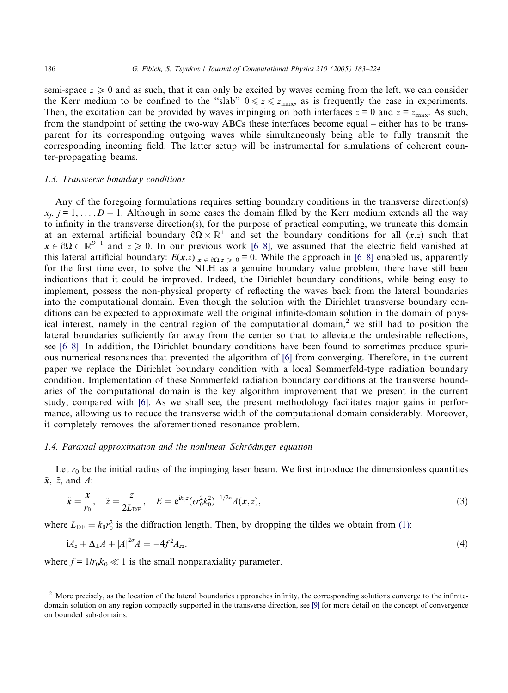<span id="page-3-0"></span>semi-space  $z \geq 0$  and as such, that it can only be excited by waves coming from the left, we can consider the Kerr medium to be confined to the "slab"  $0 \le z \le z_{\text{max}}$ , as is frequently the case in experiments. Then, the excitation can be provided by waves impinging on both interfaces  $z = 0$  and  $z = z<sub>max</sub>$ . As such, from the standpoint of setting the two-way ABCs these interfaces become equal – either has to be transparent for its corresponding outgoing waves while simultaneously being able to fully transmit the corresponding incoming field. The latter setup will be instrumental for simulations of coherent counter-propagating beams.

## 1.3. Transverse boundary conditions

Any of the foregoing formulations requires setting boundary conditions in the transverse direction(s)  $x_i$ ,  $j = 1, \ldots, D - 1$ . Although in some cases the domain filled by the Kerr medium extends all the way to infinity in the transverse direction(s), for the purpose of practical computing, we truncate this domain at an external artificial boundary  $\partial \Omega \times \mathbb{R}^+$  and set the boundary conditions for all  $(x, z)$  such that  $x \in \partial\Omega \subset \mathbb{R}^{D-1}$  and  $z \ge 0$ . In our previous work [\[6–8\],](#page-40-0) we assumed that the electric field vanished at this lateral artificial boundary:  $E(x,z)|_{x \in \partial \Omega, z \ge 0} = 0$ . While the approach in [\[6–8\]](#page-40-0) enabled us, apparently for the first time ever, to solve the NLH as a genuine boundary value problem, there have still been indications that it could be improved. Indeed, the Dirichlet boundary conditions, while being easy to implement, possess the non-physical property of reflecting the waves back from the lateral boundaries into the computational domain. Even though the solution with the Dirichlet transverse boundary conditions can be expected to approximate well the original infinite-domain solution in the domain of physical interest, namely in the central region of the computational domain,<sup>2</sup> we still had to position the lateral boundaries sufficiently far away from the center so that to alleviate the undesirable reflections, see [\[6–8\]](#page-40-0). In addition, the Dirichlet boundary conditions have been found to sometimes produce spurious numerical resonances that prevented the algorithm of [\[6\]](#page-40-0) from converging. Therefore, in the current paper we replace the Dirichlet boundary condition with a local Sommerfeld-type radiation boundary condition. Implementation of these Sommerfeld radiation boundary conditions at the transverse boundaries of the computational domain is the key algorithm improvement that we present in the current study, compared with [\[6\].](#page-40-0) As we shall see, the present methodology facilitates major gains in performance, allowing us to reduce the transverse width of the computational domain considerably. Moreover, it completely removes the aforementioned resonance problem.

#### 1.4. Paraxial approximation and the nonlinear Schrödinger equation

Let  $r_0$  be the initial radius of the impinging laser beam. We first introduce the dimensionless quantities  $\tilde{x}$ ,  $\tilde{z}$ , and A:

$$
\tilde{x} = \frac{x}{r_0}, \quad \tilde{z} = \frac{z}{2L_{\text{DF}}}, \quad E = e^{ik_0 z} (e r_0^2 k_0^2)^{-1/2\sigma} A(x, z),
$$
\n(3)

where  $L_{\text{DF}} = k_0 r_0^2$  is the diffraction length. Then, by dropping the tildes we obtain from [\(1\):](#page-1-0)

$$
i_{z} + \Delta_{\perp} A + |A|^{2\sigma} A = -4f^{2} A_{zz}, \tag{4}
$$

where  $f = 1/r_0 k_0 \ll 1$  is the small nonparaxiality parameter.

 $2$  More precisely, as the location of the lateral boundaries approaches infinity, the corresponding solutions converge to the infinitedomain solution on any region compactly supported in the transverse direction, see [\[9\]](#page-40-0) for more detail on the concept of convergence on bounded sub-domains.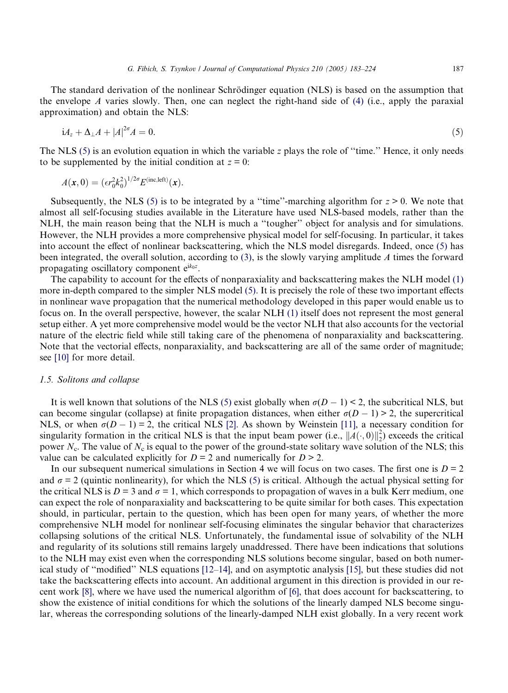<span id="page-4-0"></span>The standard derivation of the nonlinear Schrödinger equation (NLS) is based on the assumption that the envelope  $A$  varies slowly. Then, one can neglect the right-hand side of  $(4)$  (i.e., apply the paraxial approximation) and obtain the NLS:

$$
i_{\mathcal{A}_z} + \Delta_{\perp} A + |A|^{2\sigma} A = 0. \tag{5}
$$

The NLS (5) is an evolution equation in which the variable z plays the role of ''time.'' Hence, it only needs to be supplemented by the initial condition at  $z = 0$ :

$$
A(\mathbf{x},0)=(\epsilon r_0^2k_0^2)^{1/2\sigma}E^{(\text{inc},\text{left})}(\mathbf{x}).
$$

Subsequently, the NLS (5) is to be integrated by a "time"-marching algorithm for  $z > 0$ . We note that almost all self-focusing studies available in the Literature have used NLS-based models, rather than the NLH, the main reason being that the NLH is much a ''tougher'' object for analysis and for simulations. However, the NLH provides a more comprehensive physical model for self-focusing. In particular, it takes into account the effect of nonlinear backscattering, which the NLS model disregards. Indeed, once (5) has been integrated, the overall solution, according to [\(3\),](#page-3-0) is the slowly varying amplitude A times the forward propagating oscillatory component  $e^{ik_0z}$ .

The capability to account for the effects of nonparaxiality and backscattering makes the NLH model [\(1\)](#page-1-0) more in-depth compared to the simpler NLS model (5). It is precisely the role of these two important effects in nonlinear wave propagation that the numerical methodology developed in this paper would enable us to focus on. In the overall perspective, however, the scalar NLH [\(1\)](#page-1-0) itself does not represent the most general setup either. A yet more comprehensive model would be the vector NLH that also accounts for the vectorial nature of the electric field while still taking care of the phenomena of nonparaxiality and backscattering. Note that the vectorial effects, nonparaxiality, and backscattering are all of the same order of magnitude; see [\[10\]](#page-40-0) for more detail.

#### 1.5. Solitons and collapse

It is well known that solutions of the NLS (5) exist globally when  $\sigma(D - 1) < 2$ , the subcritical NLS, but can become singular (collapse) at finite propagation distances, when either  $\sigma(D - 1) > 2$ , the supercritical NLS, or when  $\sigma(D - 1) = 2$ , the critical NLS [\[2\].](#page-40-0) As shown by Weinstein [\[11\]](#page-40-0), a necessary condition for singularity formation in the critical NLS is that the input beam power (i.e.,  $||A(\cdot,0)||_2^2$ ) exceeds the critical power  $N_c$ . The value of  $N_c$  is equal to the power of the ground-state solitary wave solution of the NLS; this value can be calculated explicitly for  $D = 2$  and numerically for  $D > 2$ .

In our subsequent numerical simulations in Section 4 we will focus on two cases. The first one is  $D = 2$ and  $\sigma = 2$  (quintic nonlinearity), for which the NLS (5) is critical. Although the actual physical setting for the critical NLS is  $D = 3$  and  $\sigma = 1$ , which corresponds to propagation of waves in a bulk Kerr medium, one can expect the role of nonparaxiality and backscattering to be quite similar for both cases. This expectation should, in particular, pertain to the question, which has been open for many years, of whether the more comprehensive NLH model for nonlinear self-focusing eliminates the singular behavior that characterizes collapsing solutions of the critical NLS. Unfortunately, the fundamental issue of solvability of the NLH and regularity of its solutions still remains largely unaddressed. There have been indications that solutions to the NLH may exist even when the corresponding NLS solutions become singular, based on both numerical study of ''modified'' NLS equations [\[12–14\],](#page-40-0) and on asymptotic analysis [\[15\],](#page-41-0) but these studies did not take the backscattering effects into account. An additional argument in this direction is provided in our recent work [\[8\]](#page-40-0), where we have used the numerical algorithm of [\[6\]](#page-40-0), that does account for backscattering, to show the existence of initial conditions for which the solutions of the linearly damped NLS become singular, whereas the corresponding solutions of the linearly-damped NLH exist globally. In a very recent work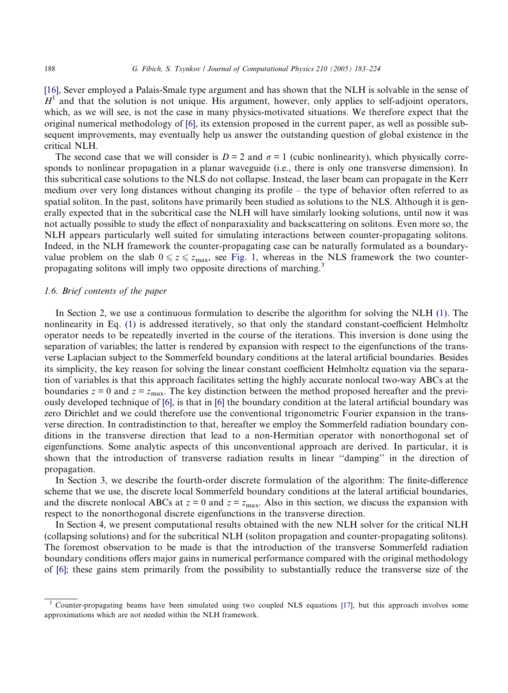[\[16\],](#page-41-0) Sever employed a Palais-Smale type argument and has shown that the NLH is solvable in the sense of  $H<sup>1</sup>$  and that the solution is not unique. His argument, however, only applies to self-adjoint operators, which, as we will see, is not the case in many physics-motivated situations. We therefore expect that the original numerical methodology of [\[6\]](#page-40-0), its extension proposed in the current paper, as well as possible subsequent improvements, may eventually help us answer the outstanding question of global existence in the critical NLH.

The second case that we will consider is  $D = 2$  and  $\sigma = 1$  (cubic nonlinearity), which physically corresponds to nonlinear propagation in a planar waveguide (i.e., there is only one transverse dimension). In this subcritical case solutions to the NLS do not collapse. Instead, the laser beam can propagate in the Kerr medium over very long distances without changing its profile – the type of behavior often referred to as spatial soliton. In the past, solitons have primarily been studied as solutions to the NLS. Although it is generally expected that in the subcritical case the NLH will have similarly looking solutions, until now it was not actually possible to study the effect of nonparaxiality and backscattering on solitons. Even more so, the NLH appears particularly well suited for simulating interactions between counter-propagating solitons. Indeed, in the NLH framework the counter-propagating case can be naturally formulated as a boundaryvalue problem on the slab  $0 \le z \le z_{\text{max}}$ , see [Fig. 1](#page-2-0), whereas in the NLS framework the two counterpropagating solitons will imply two opposite directions of marching.<sup>3</sup>

# 1.6. Brief contents of the paper

In Section 2, we use a continuous formulation to describe the algorithm for solving the NLH [\(1\)](#page-1-0). The nonlinearity in Eq. [\(1\)](#page-1-0) is addressed iteratively, so that only the standard constant-coefficient Helmholtz operator needs to be repeatedly inverted in the course of the iterations. This inversion is done using the separation of variables; the latter is rendered by expansion with respect to the eigenfunctions of the transverse Laplacian subject to the Sommerfeld boundary conditions at the lateral artificial boundaries. Besides its simplicity, the key reason for solving the linear constant coefficient Helmholtz equation via the separation of variables is that this approach facilitates setting the highly accurate nonlocal two-way ABCs at the boundaries  $z = 0$  and  $z = z_{\text{max}}$ . The key distinction between the method proposed hereafter and the previously developed technique of [\[6\]](#page-40-0), is that in [\[6\]](#page-40-0) the boundary condition at the lateral artificial boundary was zero Dirichlet and we could therefore use the conventional trigonometric Fourier expansion in the transverse direction. In contradistinction to that, hereafter we employ the Sommerfeld radiation boundary conditions in the transverse direction that lead to a non-Hermitian operator with nonorthogonal set of eigenfunctions. Some analytic aspects of this unconventional approach are derived. In particular, it is shown that the introduction of transverse radiation results in linear ''damping'' in the direction of propagation.

In Section 3, we describe the fourth-order discrete formulation of the algorithm: The finite-difference scheme that we use, the discrete local Sommerfeld boundary conditions at the lateral artificial boundaries, and the discrete nonlocal ABCs at  $z = 0$  and  $z = z<sub>max</sub>$ . Also in this section, we discuss the expansion with respect to the nonorthogonal discrete eigenfunctions in the transverse direction.

In Section 4, we present computational results obtained with the new NLH solver for the critical NLH (collapsing solutions) and for the subcritical NLH (soliton propagation and counter-propagating solitons). The foremost observation to be made is that the introduction of the transverse Sommerfeld radiation boundary conditions offers major gains in numerical performance compared with the original methodology of [\[6\];](#page-40-0) these gains stem primarily from the possibility to substantially reduce the transverse size of the

<sup>&</sup>lt;sup>3</sup> Counter-propagating beams have been simulated using two coupled NLS equations [\[17\],](#page-41-0) but this approach involves some approximations which are not needed within the NLH framework.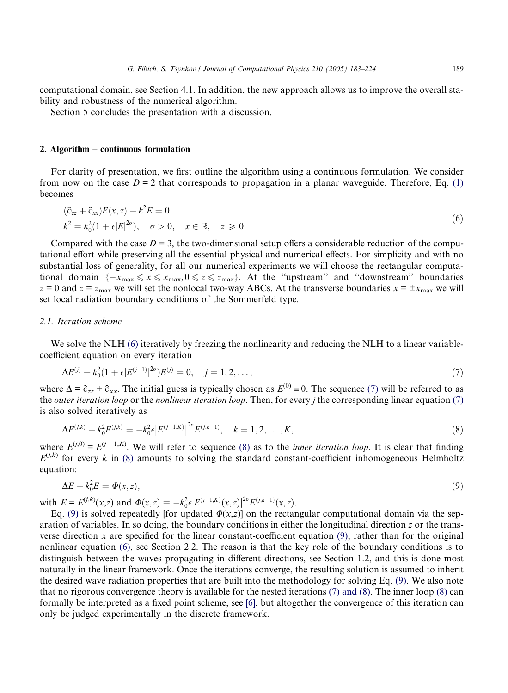<span id="page-6-0"></span>computational domain, see Section 4.1. In addition, the new approach allows us to improve the overall stability and robustness of the numerical algorithm.

Section 5 concludes the presentation with a discussion.

#### 2. Algorithm – continuous formulation

For clarity of presentation, we first outline the algorithm using a continuous formulation. We consider from now on the case  $D = 2$  that corresponds to propagation in a planar waveguide. Therefore, Eq. [\(1\)](#page-1-0) becomes

$$
(\partial_{zz} + \partial_{xx})E(x, z) + k^2 E = 0,
$$
  
\n
$$
k^2 = k_0^2(1 + \epsilon |E|^{2\sigma}), \quad \sigma > 0, \quad x \in \mathbb{R}, \quad z \ge 0.
$$
\n
$$
(6)
$$

Compared with the case  $D = 3$ , the two-dimensional setup offers a considerable reduction of the computational effort while preserving all the essential physical and numerical effects. For simplicity and with no substantial loss of generality, for all our numerical experiments we will choose the rectangular computational domain  $\{-x_{\max} \le x \le x_{\max}, 0 \le z \le z_{\max}\}$ . At the "upstream" and "downstream" boundaries  $z = 0$  and  $z = z_{\text{max}}$  we will set the nonlocal two-way ABCs. At the transverse boundaries  $x = \pm x_{\text{max}}$  we will set local radiation boundary conditions of the Sommerfeld type.

## 2.1. Iteration scheme

We solve the NLH (6) iteratively by freezing the nonlinearity and reducing the NLH to a linear variablecoefficient equation on every iteration

$$
\Delta E^{(j)} + k_0^2 (1 + \epsilon |E^{(j-1)}|^{2\sigma}) E^{(j)} = 0, \quad j = 1, 2, \dots,
$$
\n(7)

where  $\Delta = \partial_{zz} + \partial_{xx}$ . The initial guess is typically chosen as  $E^{(0)} \equiv 0$ . The sequence (7) will be referred to as the *outer iteration loop* or the *nonlinear iteration loop*. Then, for every *j* the corresponding linear equation (7) is also solved iteratively as

$$
\Delta E^{(j,k)} + k_0^2 E^{(j,k)} = -k_0^2 \epsilon |E^{(j-1,K)}|^{2\sigma} E^{(j,k-1)}, \quad k = 1, 2, \dots, K,
$$
\n(8)

where  $E^{(j,0)} = E^{(j-1,K)}$ . We will refer to sequence (8) as to the *inner iteration loop*. It is clear that finding  $E^{(j,k)}$  for every k in (8) amounts to solving the standard constant-coefficient inhomogeneous Helmholtz equation:

$$
\Delta E + k_0^2 E = \Phi(x, z),\tag{9}
$$

with  $E = E^{(j,k)}(x,z)$  and  $\Phi(x,z) \equiv -k_0^2 \epsilon |E^{(j-1,K)}(x,z)|^{2\sigma} E^{(j,k-1)}(x,z)$ .

Eq. (9) is solved repeatedly [for updated  $\Phi(x,z)$ ] on the rectangular computational domain via the separation of variables. In so doing, the boundary conditions in either the longitudinal direction z or the transverse direction  $x$  are specified for the linear constant-coefficient equation (9), rather than for the original nonlinear equation (6), see Section 2.2. The reason is that the key role of the boundary conditions is to distinguish between the waves propagating in different directions, see Section 1.2, and this is done most naturally in the linear framework. Once the iterations converge, the resulting solution is assumed to inherit the desired wave radiation properties that are built into the methodology for solving Eq. (9). We also note that no rigorous convergence theory is available for the nested iterations (7) and (8). The inner loop (8) can formally be interpreted as a fixed point scheme, see [\[6\],](#page-40-0) but altogether the convergence of this iteration can only be judged experimentally in the discrete framework.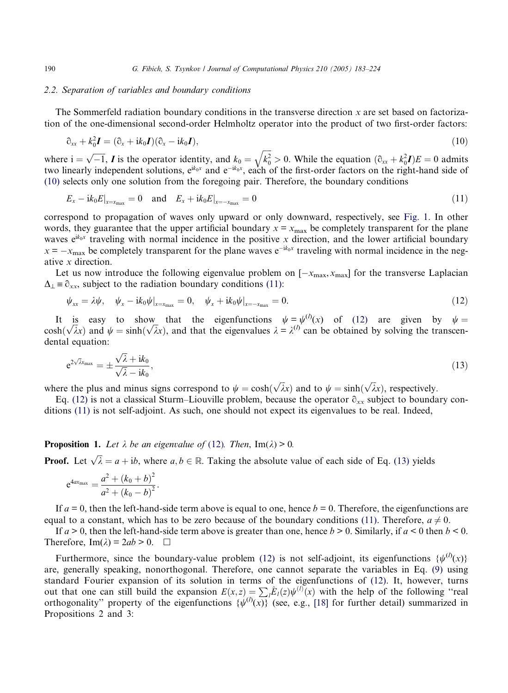## 2.2. Separation of variables and boundary conditions

The Sommerfeld radiation boundary conditions in the transverse direction  $x$  are set based on factorization of the one-dimensional second-order Helmholtz operator into the product of two first-order factors:

$$
\partial_{xx} + k_0^2 \mathbf{I} = (\partial_x + ik_0 \mathbf{I})(\partial_x - ik_0 \mathbf{I}), \qquad (10)
$$

where  $i = \sqrt{-1}$ , *I* is the operator identity, and  $k_0 = \sqrt{k_0^2}$  $k_0^2$  $\overline{a}$  $> 0$ . While the equation  $(\partial_{xx} + k_0^2 I)E = 0$  admits two linearly independent solutions,  $e^{ik_0x}$  and  $e^{-ik_0x}$ , each of the first-order factors on the right-hand side of (10) selects only one solution from the foregoing pair. Therefore, the boundary conditions

$$
E_x - i k_0 E|_{x = x_{\text{max}}} = 0 \quad \text{and} \quad E_x + i k_0 E|_{x = -x_{\text{max}}} = 0 \tag{11}
$$

correspond to propagation of waves only upward or only downward, respectively, see [Fig. 1.](#page-2-0) In other words, they guarantee that the upper artificial boundary  $x = x_{\text{max}}$  be completely transparent for the plane waves  $e^{ik_0x}$  traveling with normal incidence in the positive x direction, and the lower artificial boundary  $x = -x_{\text{max}}$  be completely transparent for the plane waves  $e^{-ik_0x}$  traveling with normal incidence in the negative x direction.

Let us now introduce the following eigenvalue problem on  $[-x_{\text{max}},x_{\text{max}}]$  for the transverse Laplacian  $\Delta_1 \equiv \partial_{xx}$ , subject to the radiation boundary conditions (11):

$$
\psi_{xx} = \lambda \psi, \quad \psi_x - i k_0 \psi|_{x = x_{\text{max}}} = 0, \quad \psi_x + i k_0 \psi|_{x = -x_{\text{max}}} = 0. \tag{12}
$$

It is easy to show that the eigenfunctions  $\psi = \psi^{(l)}(x)$  of (12) are given by  $\psi =$ It is easy to show that the eigenfunctions  $\psi = \psi^*(x)$  or (12) are given by  $\psi = \cosh(\sqrt{\lambda}x)$  and  $\psi = \sinh(\sqrt{\lambda}x)$ , and that the eigenvalues  $\lambda = \lambda^{(l)}$  can be obtained by solving the transcendental equation:

$$
e^{2\sqrt{\lambda}x_{\max}} = \pm \frac{\sqrt{\lambda} + ik_0}{\sqrt{\lambda} - ik_0},\tag{13}
$$

where the plus and minus signs correspond to  $\psi = \cosh(\sqrt{\lambda}x)$  and to  $\psi = \sinh(\sqrt{\lambda}x)$ , respectively.

Eq. (12) is not a classical Sturm–Liouville problem, because the operator  $\partial_{xx}$  subject to boundary conditions (11) is not self-adjoint. As such, one should not expect its eigenvalues to be real. Indeed,

**Proposition 1.** Let  $\lambda$  be an eigenvalue of (12). Then, Im( $\lambda$ ) > 0.

**Proof.** Let  $\sqrt{\lambda} = a + ib$ , where  $a, b \in \mathbb{R}$ . Taking the absolute value of each side of Eq. (13) yields

$$
e^{4ax_{\text{max}}} = \frac{a^2 + (k_0 + b)^2}{a^2 + (k_0 - b)^2}.
$$

If  $a = 0$ , then the left-hand-side term above is equal to one, hence  $b = 0$ . Therefore, the eigenfunctions are equal to a constant, which has to be zero because of the boundary conditions (11). Therefore,  $a \neq 0$ .

If  $a > 0$ , then the left-hand-side term above is greater than one, hence  $b > 0$ . Similarly, if  $a < 0$  then  $b < 0$ . Therefore,  $\text{Im}(\lambda) = 2ab > 0$ .  $\Box$ 

Furthermore, since the boundary-value problem (12) is not self-adjoint, its eigenfunctions  $\{\psi^{(l)}(x)\}$ are, generally speaking, nonorthogonal. Therefore, one cannot separate the variables in Eq. [\(9\)](#page-6-0) using standard Fourier expansion of its solution in terms of the eigenfunctions of (12). It, however, turns out that one can still build the expansion  $E(x, z) = \sum_{i} \hat{E}_i(z) \psi^{(i)}(x)$  with the help of the following "real orthogonality" property of the eigenfunctions  $\{\psi^{(l)}(x)\}$  (see, e.g., [\[18\]](#page-41-0) for further detail) summarized in Propositions 2 and 3:

<span id="page-7-0"></span>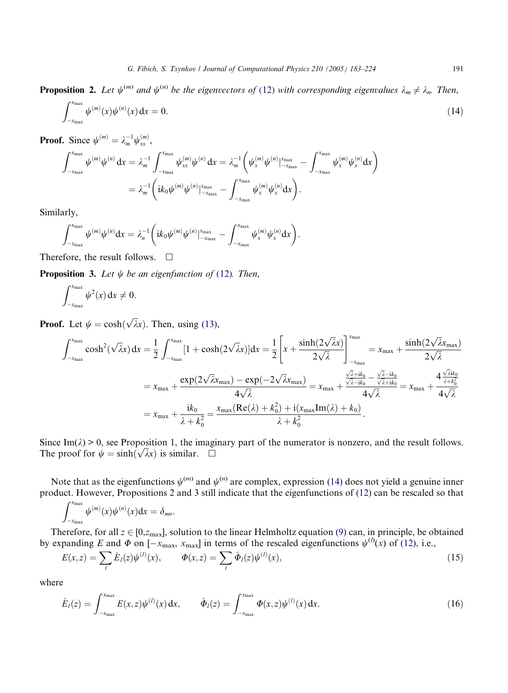<span id="page-8-0"></span>**Proposition 2.** Let  $\psi^{(m)}$  and  $\psi^{(n)}$  be the eigenvectors of ([12](#page-7-0)) with corresponding eigenvalues  $\lambda_m \neq \lambda_n$ . Then,

$$
\int_{-x_{\max}}^{x_{\max}} \psi^{(m)}(x)\psi^{(n)}(x) dx = 0.
$$
 (14)

**Proof.** Since  $\psi^{(m)} = \lambda_m^{-1} \psi_{xx}^{(m)}$ ,

$$
\begin{split} \int_{-x_{\max}}^{x_{\max}} \psi^{(m)} \psi^{(n)} \, \mathrm{d}x & = \lambda_m^{-1} \int_{-x_{\max}}^{x_{\max}} \psi_{xx}^{(m)} \psi^{(n)} \, \mathrm{d}x = \lambda_m^{-1} \bigg( \psi_x^{(m)} \psi^{(n)} \big|_{-x_{\max}}^{x_{\max}} - \int_{-x_{\max}}^{x_{\max}} \psi_x^{(m)} \psi_x^{(n)} \mathrm{d}x \bigg) \\ & = \lambda_m^{-1} \bigg( \mathrm{i} k_0 \psi^{(m)} \psi^{(n)} \big|_{-x_{\max}}^{x_{\max}} - \int_{-x_{\max}}^{x_{\max}} \psi_x^{(m)} \psi_x^{(n)} \mathrm{d}x \bigg). \end{split}
$$

Similarly,

$$
\int_{-x_{\max}}^{x_{\max}} \psi^{(m)} \psi^{(n)} dx = \lambda_n^{-1} \bigg( i k_0 \psi^{(m)} \psi^{(n)} \big|_{-x_{\max}}^{x_{\max}} - \int_{-x_{\max}}^{x_{\max}} \psi_x^{(m)} \psi_x^{(n)} dx \bigg).
$$

Therefore, the result follows.  $\Box$ 

**Proposition 3.** Let  $\psi$  be an eigenfunction of ([12](#page-7-0)). Then,

$$
\int_{-x_{\max}}^{x_{\max}} \psi^2(x) \, dx \neq 0.
$$

**Proof.** Let  $\psi = \cosh(\sqrt{\lambda}x)$ . Then, using [\(13\),](#page-7-0)

$$
\int_{-x_{\text{max}}}^{x_{\text{max}}} \cosh^2(\sqrt{\lambda}x) dx = \frac{1}{2} \int_{-x_{\text{max}}}^{x_{\text{max}}} [1 + \cosh(2\sqrt{\lambda}x)] dx = \frac{1}{2} \left[ x + \frac{\sinh(2\sqrt{\lambda}x)}{2\sqrt{\lambda}} \right]_{-x_{\text{max}}}^{x_{\text{max}}} = x_{\text{max}} + \frac{\sinh(2\sqrt{\lambda}x_{\text{max}})}{2\sqrt{\lambda}}
$$
  

$$
= x_{\text{max}} + \frac{\exp(2\sqrt{\lambda}x_{\text{max}}) - \exp(-2\sqrt{\lambda}x_{\text{max}})}{4\sqrt{\lambda}} = x_{\text{max}} + \frac{\frac{\sqrt{\lambda} + ik_0}{\sqrt{\lambda} - ik_0}}{4\sqrt{\lambda}} = x_{\text{max}} + \frac{4\frac{\sqrt{\lambda}ik_0}{\lambda + k_0^2}}{4\sqrt{\lambda}}
$$
  

$$
= x_{\text{max}} + \frac{ik_0}{\lambda + k_0^2} = \frac{x_{\text{max}}(\text{Re}(\lambda) + k_0^2) + i(x_{\text{max}}\text{Im}(\lambda) + k_0)}{\lambda + k_0^2}.
$$

Since Im( $\lambda$ ) > 0, see Proposition 1, the imaginary part of the numerator is nonzero, and the result follows. Since  $\text{Im}(\lambda) > 0$ , see Proposition 1, the image<br>The proof for  $\psi = \sinh(\sqrt{\lambda}x)$  is similar.  $\square$ 

Note that as the eigenfunctions  $\psi^{(m)}$  and  $\psi^{(n)}$  are complex, expression (14) does not yield a genuine inner product. However, Propositions 2 and 3 still indicate that the eigenfunctions of [\(12\)](#page-7-0) can be rescaled so that

$$
\int_{-x_{\max}}^{x_{\max}} \psi^{(m)}(x) \psi^{(n)}(x) \mathrm{d}x = \delta_{mn}.
$$

Therefore, for all  $z \in [0, z_{\text{max}}]$ , solution to the linear Helmholtz equation [\(9\)](#page-6-0) can, in principle, be obtained by expanding E and  $\Phi$  on  $[-x_{\text{max}}, x_{\text{max}}]$  in terms of the rescaled eigenfunctions  $\psi^{(l)}(x)$  of [\(12\),](#page-7-0) i.e.,

$$
E(x, z) = \sum_{l} \hat{E}_{l}(z) \psi^{(l)}(x), \qquad \Phi(x, z) = \sum_{l} \hat{\Phi}_{l}(z) \psi^{(l)}(x), \tag{15}
$$

where

$$
\hat{E}_l(z) = \int_{-x_{\text{max}}}^{x_{\text{max}}} E(x, z) \psi^{(l)}(x) dx, \qquad \hat{\Phi}_l(z) = \int_{-x_{\text{max}}}^{x_{\text{max}}} \Phi(x, z) \psi^{(l)}(x) dx.
$$
\n(16)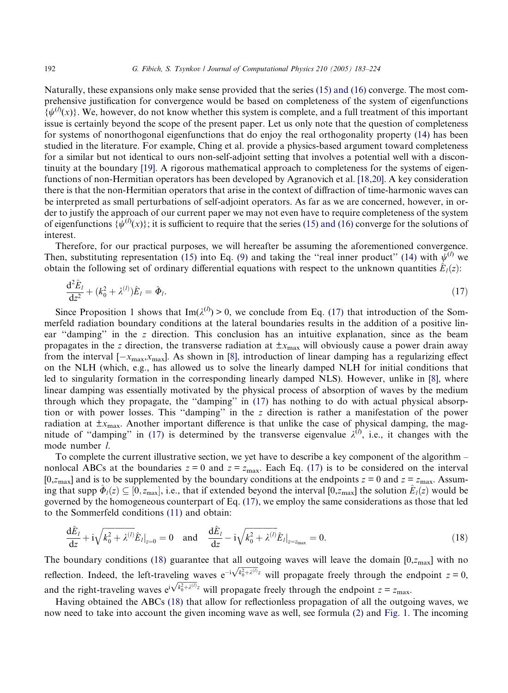<span id="page-9-0"></span>Naturally, these expansions only make sense provided that the series [\(15\) and \(16\)](#page-8-0) converge. The most comprehensive justification for convergence would be based on completeness of the system of eigenfunctions  $\{\psi^{(l)}(x)\}\)$ . We, however, do not know whether this system is complete, and a full treatment of this important issue is certainly beyond the scope of the present paper. Let us only note that the question of completeness for systems of nonorthogonal eigenfunctions that do enjoy the real orthogonality property [\(14\)](#page-8-0) has been studied in the literature. For example, Ching et al. provide a physics-based argument toward completeness for a similar but not identical to ours non-self-adjoint setting that involves a potential well with a discontinuity at the boundary [\[19\]](#page-41-0). A rigorous mathematical approach to completeness for the systems of eigenfunctions of non-Hermitian operators has been developed by Agranovich et al. [\[18,20\]](#page-41-0). A key consideration there is that the non-Hermitian operators that arise in the context of diffraction of time-harmonic waves can be interpreted as small perturbations of self-adjoint operators. As far as we are concerned, however, in order to justify the approach of our current paper we may not even have to require completeness of the system of eigenfunctions  $\{\psi^{(l)}(x)\}$ ; it is sufficient to require that the series [\(15\) and \(16\)](#page-8-0) converge for the solutions of interest.

Therefore, for our practical purposes, we will hereafter be assuming the aforementioned convergence. Then, substituting representation [\(15\)](#page-8-0) into Eq. [\(9\)](#page-6-0) and taking the "real inner product" [\(14\)](#page-8-0) with  $\psi^{(l)}$  we obtain the following set of ordinary differential equations with respect to the unknown quantities  $\hat{E}_l(z)$ :

$$
\frac{\mathrm{d}^2 \hat{E}_l}{\mathrm{d}z^2} + (k_0^2 + \lambda^{(l)}) \hat{E}_l = \hat{\Phi}_l. \tag{17}
$$

Since Proposition 1 shows that  $Im(\lambda^{(l)}) > 0$ , we conclude from Eq. (17) that introduction of the Sommerfeld radiation boundary conditions at the lateral boundaries results in the addition of a positive linear ''damping'' in the z direction. This conclusion has an intuitive explanation, since as the beam propagates in the z direction, the transverse radiation at  $\pm x_{\text{max}}$  will obviously cause a power drain away from the interval  $[-x_{\text{max}},x_{\text{max}}]$ . As shown in [\[8\]](#page-40-0), introduction of linear damping has a regularizing effect on the NLH (which, e.g., has allowed us to solve the linearly damped NLH for initial conditions that led to singularity formation in the corresponding linearly damped NLS). However, unlike in [\[8\],](#page-40-0) where linear damping was essentially motivated by the physical process of absorption of waves by the medium through which they propagate, the ''damping'' in (17) has nothing to do with actual physical absorption or with power losses. This ''damping'' in the z direction is rather a manifestation of the power radiation at  $\pm x_{\text{max}}$ . Another important difference is that unlike the case of physical damping, the magnitude of "damping" in (17) is determined by the transverse eigenvalue  $\lambda^{(l)}$ , i.e., it changes with the mode number l.

To complete the current illustrative section, we yet have to describe a key component of the algorithm – nonlocal ABCs at the boundaries  $z = 0$  and  $z = z_{\text{max}}$ . Each Eq. (17) is to be considered on the interval [0, $z_{\text{max}}$ ] and is to be supplemented by the boundary conditions at the endpoints  $z = 0$  and  $z = z_{\text{max}}$ . Assuming that supp  $\hat{\Phi}_l(z) \subseteq [0,z_{\text{max}}]$ , i.e., that if extended beyond the interval  $[0,z_{\text{max}}]$  the solution  $\hat{E}_l(z)$  would be governed by the homogeneous counterpart of Eq. (17), we employ the same considerations as those that led to the Sommerfeld conditions [\(11\)](#page-7-0) and obtain:

$$
\frac{d\hat{E}_l}{dz} + i\sqrt{k_0^2 + \lambda^{(l)}\hat{E}_l|_{z=0}} = 0 \text{ and } \frac{d\hat{E}_l}{dz} - i\sqrt{k_0^2 + \lambda^{(l)}\hat{E}_l|_{z=z_{\text{max}}}} = 0.
$$
 (18)

The boundary conditions (18) guarantee that all outgoing waves will leave the domain  $[0, z<sub>max</sub>]$  with no ric boundary conditions (16) guarantee that an outgoing waves win leave the domain [0,2 max] with no<br>reflection. Indeed, the left-traveling waves  $e^{-i\sqrt{k_0^2 + \lambda^{(l)}}z}$  will propagate freely through the endpoint  $z = 0$ , and the right-traveling waves  $e^{i\sqrt{k_0^2 + \lambda^{(l)}}z}$  will propagate freely through the endpoint  $z = z_{\text{max}}$ .

Having obtained the ABCs (18) that allow for reflectionless propagation of all the outgoing waves, we now need to take into account the given incoming wave as well, see formula [\(2\)](#page-2-0) and [Fig. 1.](#page-2-0) The incoming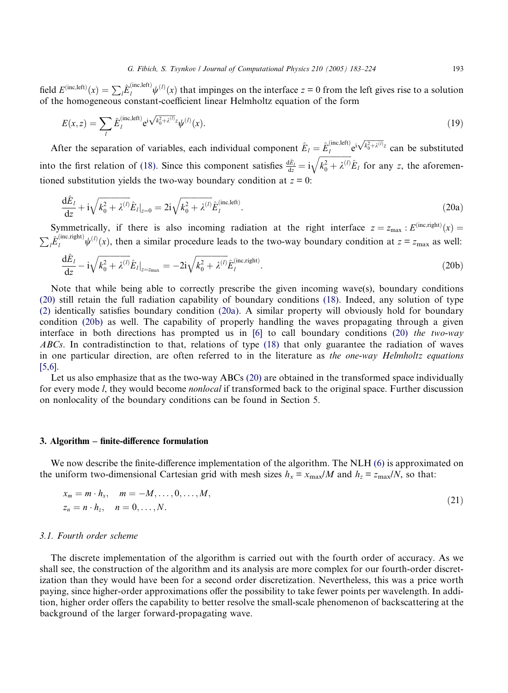<span id="page-10-0"></span>field  $E^{(\text{inc},\text{left})}(x) = \sum_{l} \hat{E}_{l}^{(\text{inc},\text{left})} \psi^{(l)}(x)$  that impinges on the interface  $z = 0$  from the left gives rise to a solution of the homogeneous constant-coefficient linear Helmholtz equation of the form

$$
E(x,z) = \sum_{l} \hat{E}_l^{(\text{inc},\text{left})} e^{i\sqrt{k_0^2 + \lambda^{(l)}}z} \psi^{(l)}(x). \tag{19}
$$

After the separation of variables, each individual component  $\hat{E}_l = \hat{E}_l^{(\text{inc},\text{left})} e^{i \sqrt{k_0^2 + \lambda^{(l)}} z}$  can be substituted into the first relation of [\(18\).](#page-9-0) Since this component satisfies  $\frac{d\hat{E}_l}{dz} = i$  $\frac{1}{2}$  $k_0^2 + \lambda^{(l)}$  $\sqrt{k_0^2 + \lambda^{(l)}E_l}$  for any z, the aforementioned substitution yields the two-way boundary condition at  $z = 0$ :

$$
\frac{d\hat{E}_l}{dz} + i\sqrt{k_0^2 + \lambda^{(l)}}\hat{E}_l|_{z=0} = 2i\sqrt{k_0^2 + \lambda^{(l)}}\hat{E}_l^{\text{(inc,left)}}.
$$
\n(20a)

Symmetrically, if there is also incoming radiation at the right interface  $z = z_{\text{max}} : E^{(\text{inc},\text{right})}(x) =$  $\sum_l \hat{E}_l^{(\text{inc}, \text{right})} \psi^{(l)}(x)$ , then a similar procedure leads to the two-way boundary condition at  $z = z_{\text{max}}$  as well:

$$
\frac{d\hat{E}_l}{dz} - i\sqrt{k_0^2 + \lambda^{(l)}}\hat{E}_l|_{z=z_{\text{max}}} = -2i\sqrt{k_0^2 + \lambda^{(l)}}\hat{E}_l^{(\text{inc},\text{right)}}.
$$
\n(20b)

Note that while being able to correctly prescribe the given incoming wave(s), boundary conditions (20) still retain the full radiation capability of boundary conditions [\(18\)](#page-9-0). Indeed, any solution of type [\(2\)](#page-2-0) identically satisfies boundary condition (20a). A similar property will obviously hold for boundary condition (20b) as well. The capability of properly handling the waves propagating through a given interface in both directions has prompted us in  $[6]$  to call boundary conditions (20) the two-way ABCs. In contradistinction to that, relations of type [\(18\)](#page-9-0) that only guarantee the radiation of waves in one particular direction, are often referred to in the literature as the one-way Helmholtz equations [\[5,6\].](#page-40-0)

Let us also emphasize that as the two-way ABCs (20) are obtained in the transformed space individually for every mode *l*, they would become *nonlocal* if transformed back to the original space. Further discussion on nonlocality of the boundary conditions can be found in Section 5.

#### 3. Algorithm – finite-difference formulation

We now describe the finite-difference implementation of the algorithm. The NLH [\(6\)](#page-6-0) is approximated on the uniform two-dimensional Cartesian grid with mesh sizes  $h_x = x_{\text{max}}/M$  and  $h_z = z_{\text{max}}/N$ , so that:

$$
x_m = m \cdot h_x, \quad m = -M, \dots, 0, \dots, M,
$$
  
\n
$$
z_n = n \cdot h_z, \quad n = 0, \dots, N.
$$
\n(21)

## 3.1. Fourth order scheme

The discrete implementation of the algorithm is carried out with the fourth order of accuracy. As we shall see, the construction of the algorithm and its analysis are more complex for our fourth-order discretization than they would have been for a second order discretization. Nevertheless, this was a price worth paying, since higher-order approximations offer the possibility to take fewer points per wavelength. In addition, higher order offers the capability to better resolve the small-scale phenomenon of backscattering at the background of the larger forward-propagating wave.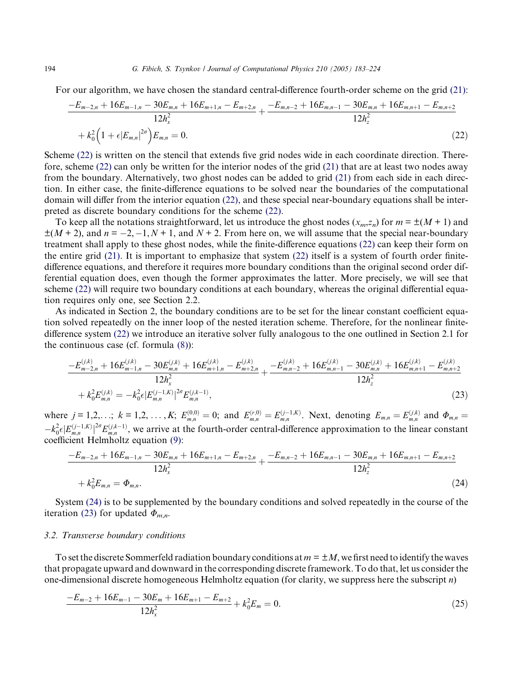For our algorithm, we have chosen the standard central-difference fourth-order scheme on the grid [\(21\)](#page-10-0):

$$
\frac{-E_{m-2,n} + 16E_{m-1,n} - 30E_{m,n} + 16E_{m+1,n} - E_{m+2,n}}{12h_x^2} + \frac{-E_{m,n-2} + 16E_{m,n-1} - 30E_{m,n} + 16E_{m,n+1} - E_{m,n+2}}{12h_z^2} + k_0^2 \left(1 + \epsilon |E_{m,n}|^2\right) E_{m,n} = 0.
$$
\n(22)

Scheme (22) is written on the stencil that extends five grid nodes wide in each coordinate direction. Therefore, scheme (22) can only be written for the interior nodes of the grid [\(21\)](#page-10-0) that are at least two nodes away from the boundary. Alternatively, two ghost nodes can be added to grid [\(21\)](#page-10-0) from each side in each direction. In either case, the finite-difference equations to be solved near the boundaries of the computational domain will differ from the interior equation (22), and these special near-boundary equations shall be interpreted as discrete boundary conditions for the scheme (22).

To keep all the notations straightforward, let us introduce the ghost nodes  $(x_m, z_n)$  for  $m = \pm(M + 1)$  and  $\pm(M+2)$ , and  $n = -2, -1, N+1$ , and  $N+2$ . From here on, we will assume that the special near-boundary treatment shall apply to these ghost nodes, while the finite-difference equations (22) can keep their form on the entire grid [\(21\).](#page-10-0) It is important to emphasize that system (22) itself is a system of fourth order finitedifference equations, and therefore it requires more boundary conditions than the original second order differential equation does, even though the former approximates the latter. More precisely, we will see that scheme (22) will require two boundary conditions at each boundary, whereas the original differential equation requires only one, see Section 2.2.

As indicated in Section 2, the boundary conditions are to be set for the linear constant coefficient equation solved repeatedly on the inner loop of the nested iteration scheme. Therefore, for the nonlinear finitedifference system (22) we introduce an iterative solver fully analogous to the one outlined in Section 2.1 for the continuous case (cf. formula [\(8\)\)](#page-6-0):

$$
\frac{-E_{m-2,n}^{(j,k)} + 16E_{m-1,n}^{(j,k)} - 30E_{m,n}^{(j,k)} + 16E_{m+1,n}^{(j,k)} - E_{m+2,n}^{(j,k)}}{12h_x^2} + k_0^2 E_{m,n}^{(j,k)} = -k_0^2 \epsilon |E_{m,n}^{(j-k)}|^2 E_{m,n}^{(j,k-1)},
$$
\n
$$
(23)
$$

where  $j = 1, 2, \ldots$ ;  $k = 1, 2, \ldots, K$ ;  $E_{m,n}^{(0,0)} = 0$ ; and  $E_{m,n}^{(r,0)} = E_{m,n}^{(j-1,K)}$ . Next, denoting  $E_{m,n} = E_{m,n}^{(j,k)}$  and  $\Phi_{m,n} =$  $-k_0^2 \epsilon |E_{m,n}^{(j-1,K)}|^{2\sigma} E_{m,n}^{(j,k-1)}$ , we arrive at the fourth-order central-difference approximation to the linear constant coefficient Helmholtz equation [\(9\)](#page-6-0):

$$
\frac{-E_{m-2,n} + 16E_{m-1,n} - 30E_{m,n} + 16E_{m+1,n} - E_{m+2,n}}{12h_x^2} + \frac{-E_{m,n-2} + 16E_{m,n-1} - 30E_{m,n} + 16E_{m,n+1} - E_{m,n+2}}{12h_z^2}
$$
\n
$$
+ k_0^2 E_{m,n} = \Phi_{m,n}.
$$
\n(24)

System (24) is to be supplemented by the boundary conditions and solved repeatedly in the course of the iteration (23) for updated  $\Phi_{m,n}$ .

## 3.2. Transverse boundary conditions

To set the discrete Sommerfeld radiation boundary conditions at  $m = \pm M$ , we first need to identify the waves that propagate upward and downward in the corresponding discrete framework. To do that, let us consider the one-dimensional discrete homogeneous Helmholtz equation (for clarity, we suppress here the subscript  $n$ )

$$
\frac{-E_{m-2} + 16E_{m-1} - 30E_m + 16E_{m+1} - E_{m+2}}{12h_x^2} + k_0^2 E_m = 0.
$$
\n(25)

<span id="page-11-0"></span>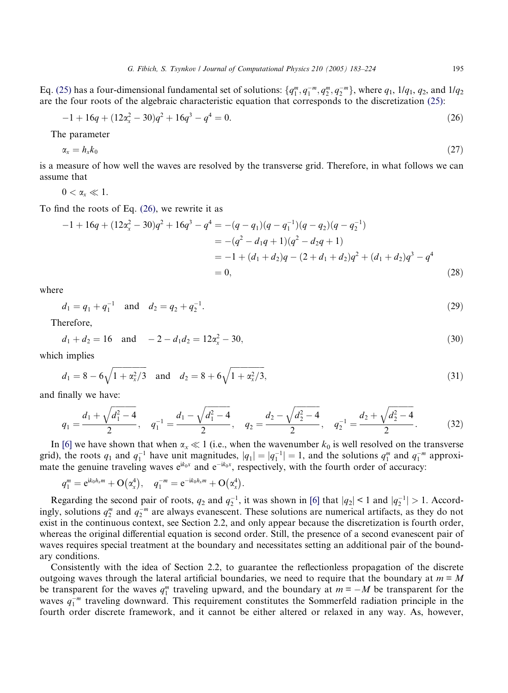<span id="page-12-0"></span>Eq. [\(25\)](#page-11-0) has a four-dimensional fundamental set of solutions:  $\{q_1^m, q_2^m, q_2^m, q_2^m\}$ , where  $q_1$ ,  $1/q_1$ ,  $q_2$ , and  $1/q_2$ are the four roots of the algebraic characteristic equation that corresponds to the discretization [\(25\):](#page-11-0)

$$
-1 + 16q + (12\alpha_x^2 - 30)q^2 + 16q^3 - q^4 = 0.
$$
\n(26)

The parameter

$$
\alpha_x = h_x k_0 \tag{27}
$$

is a measure of how well the waves are resolved by the transverse grid. Therefore, in what follows we can assume that

 $0 < \alpha \ll 1$ .

To find the roots of Eq. (26), we rewrite it as

$$
-1 + 16q + (12\alpha_x^2 - 30)q^2 + 16q^3 - q^4 = -(q - q_1)(q - q_1)(q - q_2)(q - q_2^{-1})
$$
  
= -(q<sup>2</sup> - d<sub>1</sub>q + 1)(q<sup>2</sup> - d<sub>2</sub>q + 1)  
= -1 + (d<sub>1</sub> + d<sub>2</sub>)q - (2 + d<sub>1</sub> + d<sub>2</sub>)q<sup>2</sup> + (d<sub>1</sub> + d<sub>2</sub>)q<sup>3</sup> - q<sup>4</sup>  
= 0, (28)

where

$$
d_1 = q_1 + q_1^{-1} \quad \text{and} \quad d_2 = q_2 + q_2^{-1}.\tag{29}
$$

Therefore,

$$
d_1 + d_2 = 16 \quad \text{and} \quad -2 - d_1 d_2 = 12a_x^2 - 30,\tag{30}
$$

which implies

$$
d_1 = 8 - 6\sqrt{1 + \alpha_x^2/3}
$$
 and  $d_2 = 8 + 6\sqrt{1 + \alpha_x^2/3}$ , (31)

and finally we have:

$$
q_1 = \frac{d_1 + \sqrt{d_1^2 - 4}}{2}, \quad q_1^{-1} = \frac{d_1 - \sqrt{d_1^2 - 4}}{2}, \quad q_2 = \frac{d_2 - \sqrt{d_2^2 - 4}}{2}, \quad q_2^{-1} = \frac{d_2 + \sqrt{d_2^2 - 4}}{2}.
$$
 (32)

In [\[6\]](#page-40-0) we have shown that when  $\alpha_x \ll 1$  (i.e., when the wavenumber  $k_0$  is well resolved on the transverse grid), the roots  $q_1$  and  $q_1^{-1}$  have unit magnitudes,  $|q_1| = |q_1^{-1}| = 1$ , and the solutions  $q_1^m$  and  $q_1^{-m}$  approximate the genuine traveling waves  $e^{ik_0x}$  and  $e^{-ik_0x}$ , respectively, with the fourth order of accuracy:

$$
q_1^m = e^{ik_0h_xm} + O(\alpha_x^4), \quad q_1^{-m} = e^{-ik_0h_xm} + O(\alpha_x^4).
$$

Regarding the second pair of roots,  $q_2$  and  $q_2^{-1}$ , it was shown in [\[6\]](#page-40-0) that  $|q_2| < 1$  and  $|q_2^{-1}| > 1$ . Accordingly, solutions  $q_2^m$  and  $q_2^{-m}$  are always evanescent. These solutions are numerical artifacts, as they do not exist in the continuous context, see Section 2.2, and only appear because the discretization is fourth order, whereas the original differential equation is second order. Still, the presence of a second evanescent pair of waves requires special treatment at the boundary and necessitates setting an additional pair of the boundary conditions.

Consistently with the idea of Section 2.2, to guarantee the reflectionless propagation of the discrete outgoing waves through the lateral artificial boundaries, we need to require that the boundary at  $m = M$ be transparent for the waves  $q_1^m$  traveling upward, and the boundary at  $m = -M$  be transparent for the waves  $q_1^{-m}$  traveling downward. This requirement constitutes the Sommerfeld radiation principle in the fourth order discrete framework, and it cannot be either altered or relaxed in any way. As, however,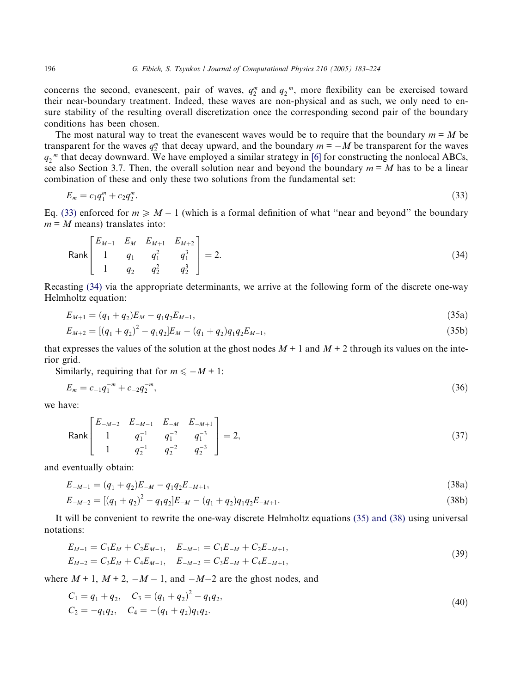<span id="page-13-0"></span>concerns the second, evanescent, pair of waves,  $q_2^m$  and  $q_2^{-m}$ , more flexibility can be exercised toward their near-boundary treatment. Indeed, these waves are non-physical and as such, we only need to ensure stability of the resulting overall discretization once the corresponding second pair of the boundary conditions has been chosen.

The most natural way to treat the evanescent waves would be to require that the boundary  $m = M$  be transparent for the waves  $q_2^m$  that decay upward, and the boundary  $m = -M$  be transparent for the waves  $q_2^{-m}$  that decay downward. We have employed a similar strategy in [\[6\]](#page-40-0) for constructing the nonlocal ABCs, see also Section 3.7. Then, the overall solution near and beyond the boundary  $m = M$  has to be a linear combination of these and only these two solutions from the fundamental set:

$$
E_m = c_1 q_1^m + c_2 q_2^m. \tag{33}
$$

Eq. (33) enforced for  $m \ge M - 1$  (which is a formal definition of what "near and beyond" the boundary  $m = M$  means) translates into:

$$
\text{Rank}\begin{bmatrix} E_{M-1} & E_M & E_{M+1} & E_{M+2} \\ 1 & q_1 & q_1^2 & q_1^3 \\ 1 & q_2 & q_2^2 & q_2^3 \end{bmatrix} = 2. \tag{34}
$$

Recasting (34) via the appropriate determinants, we arrive at the following form of the discrete one-way Helmholtz equation:

$$
E_{M+1} = (q_1 + q_2)E_M - q_1 q_2 E_{M-1},\tag{35a}
$$

$$
E_{M+2} = [(q_1 + q_2)^2 - q_1 q_2] E_M - (q_1 + q_2) q_1 q_2 E_{M-1},
$$
\n(35b)

that expresses the values of the solution at the ghost nodes  $M + 1$  and  $M + 2$  through its values on the interior grid.

Similarly, requiring that for  $m \leq -M + 1$ :

$$
E_m = c_{-1}q_1^{-m} + c_{-2}q_2^{-m},\tag{36}
$$

we have:

$$
\text{Rank}\begin{bmatrix} E_{-M-2} & E_{-M-1} & E_{-M} & E_{-M+1} \\ 1 & q_1^{-1} & q_1^{-2} & q_1^{-3} \\ 1 & q_2^{-1} & q_2^{-2} & q_2^{-3} \end{bmatrix} = 2,\tag{37}
$$

and eventually obtain:

$$
E_{-M-1} = (q_1 + q_2)E_{-M} - q_1 q_2 E_{-M+1},
$$
\n(38a)

$$
E_{-M-2} = [(q_1 + q_2)^2 - q_1 q_2] E_{-M} - (q_1 + q_2) q_1 q_2 E_{-M+1}.
$$
\n(38b)

It will be convenient to rewrite the one-way discrete Helmholtz equations (35) and (38) using universal notations:

$$
E_{M+1} = C_1 E_M + C_2 E_{M-1}, \quad E_{-M-1} = C_1 E_{-M} + C_2 E_{-M+1},
$$
  
\n
$$
E_{M+2} = C_3 E_M + C_4 E_{M-1}, \quad E_{-M-2} = C_3 E_{-M} + C_4 E_{-M+1},
$$
\n(39)

where  $M + 1$ ,  $M + 2$ ,  $-M - 1$ , and  $-M-2$  are the ghost nodes, and

$$
C_1 = q_1 + q_2, \quad C_3 = (q_1 + q_2)^2 - q_1 q_2, C_2 = -q_1 q_2, \quad C_4 = -(q_1 + q_2)q_1 q_2.
$$
\n
$$
(40)
$$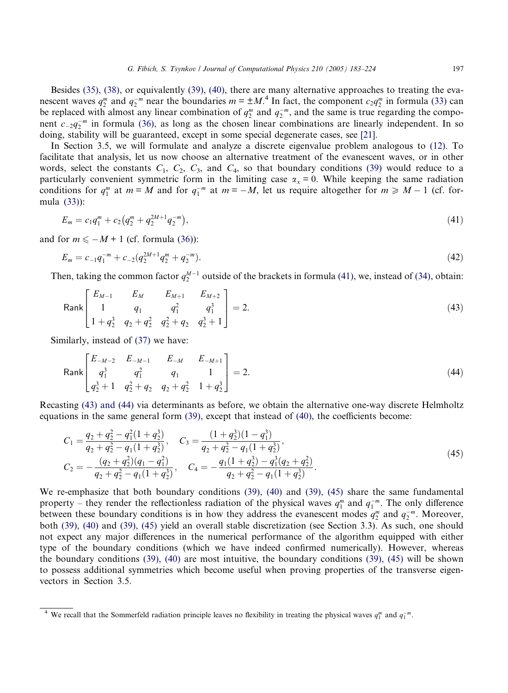<span id="page-14-0"></span>Besides [\(35\), \(38\)](#page-13-0), or equivalently [\(39\), \(40\),](#page-13-0) there are many alternative approaches to treating the evanescent waves  $q_2^m$  and  $q_2^{-m}$  near the boundaries  $m = \pm M$ .<sup>4</sup> In fact, the component  $c_2 q_2^m$  in formula [\(33\)](#page-13-0) can be replaced with almost any linear combination of  $q_2^m$  and  $q_2^{-m}$ , and the same is true regarding the component  $c_{-2}q_2^{-m}$  in formula [\(36\)](#page-13-0), as long as the chosen linear combinations are linearly independent. In so doing, stability will be guaranteed, except in some special degenerate cases, see [\[21\]](#page-41-0).

In Section 3.5, we will formulate and analyze a discrete eigenvalue problem analogous to [\(12\)](#page-7-0). To facilitate that analysis, let us now choose an alternative treatment of the evanescent waves, or in other words, select the constants  $C_1$ ,  $C_2$ ,  $C_3$ , and  $C_4$ , so that boundary conditions [\(39\)](#page-13-0) would reduce to a particularly convenient symmetric form in the limiting case  $\alpha_x = 0$ . While keeping the same radiation conditions for  $q_1^m$  at  $m = M$  and for  $q_1^{-m}$  at  $m = -M$ , let us require altogether for  $m \ge M - 1$  (cf. formula [\(33\)](#page-13-0)):

$$
E_m = c_1 q_1^m + c_2 \left( q_2^m + q_2^{2M+1} q_2^{-m} \right), \tag{41}
$$

and for  $m \leq -M + 1$  (cf. formula [\(36\)\)](#page-13-0):

$$
E_m = c_{-1}q_1^{-m} + c_{-2}(q_2^{2M+1}q_2^m + q_2^{-m}).
$$
\n(42)

Then, taking the common factor  $q_2^{M-1}$  outside of the brackets in formula (41), we, instead of [\(34\)](#page-13-0), obtain:

Rank 
$$
\begin{bmatrix} E_{M-1} & E_M & E_{M+1} & E_{M+2} \\ 1 & q_1 & q_1^2 & q_1^3 \\ 1 + q_2^3 & q_2 + q_2^2 & q_2^2 + q_2 & q_2^3 + 1 \end{bmatrix} = 2.
$$
 (43)

Similarly, instead of [\(37\)](#page-13-0) we have:

Rank 
$$
\begin{bmatrix} E_{-M-2} & E_{-M-1} & E_{-M} & E_{-M+1} \\ q_1^3 & q_1^2 & q_1 & 1 \\ q_2^3 + 1 & q_2^2 + q_2 & q_2 + q_2^2 & 1 + q_2^3 \end{bmatrix} = 2.
$$
 (44)

Recasting (43) and (44) via determinants as before, we obtain the alternative one-way discrete Helmholtz equations in the same general form [\(39\),](#page-13-0) except that instead of [\(40\),](#page-13-0) the coefficients become:

$$
C_1 = \frac{q_2 + q_2^2 - q_1^2 (1 + q_2^3)}{q_2 + q_2^2 - q_1 (1 + q_2^3)}, \quad C_3 = \frac{(1 + q_2^3)(1 - q_1^3)}{q_2 + q_2^2 - q_1 (1 + q_2^3)},
$$
  
\n
$$
C_2 = -\frac{(q_2 + q_2^2)(q_1 - q_1^2)}{q_2 + q_2^2 - q_1 (1 + q_2^3)}, \quad C_4 = -\frac{q_1 (1 + q_2^3) - q_1^3 (q_2 + q_2^2)}{q_2 + q_2^2 - q_1 (1 + q_2^3)}.
$$
\n(45)

We re-emphasize that both boundary conditions [\(39\), \(40\)](#page-13-0) and [\(39\), \(45\)](#page-13-0) share the same fundamental property – they render the reflectionless radiation of the physical waves  $q_1^m$  and  $q_1^{-m}$ . The only difference between these boundary conditions is in how they address the evanescent modes  $q_2^m$  and  $q_2^{-m}$ . Moreover, both [\(39\), \(40\)](#page-13-0) and [\(39\), \(45\)](#page-13-0) yield an overall stable discretization (see Section 3.3). As such, one should not expect any major differences in the numerical performance of the algorithm equipped with either type of the boundary conditions (which we have indeed confirmed numerically). However, whereas the boundary conditions [\(39\), \(40\)](#page-13-0) are most intuitive, the boundary conditions [\(39\), \(45\)](#page-13-0) will be shown to possess additional symmetries which become useful when proving properties of the transverse eigenvectors in Section 3.5.

<sup>&</sup>lt;sup>4</sup> We recall that the Sommerfeld radiation principle leaves no flexibility in treating the physical waves  $q_1^m$  and  $q_1^{-m}$ .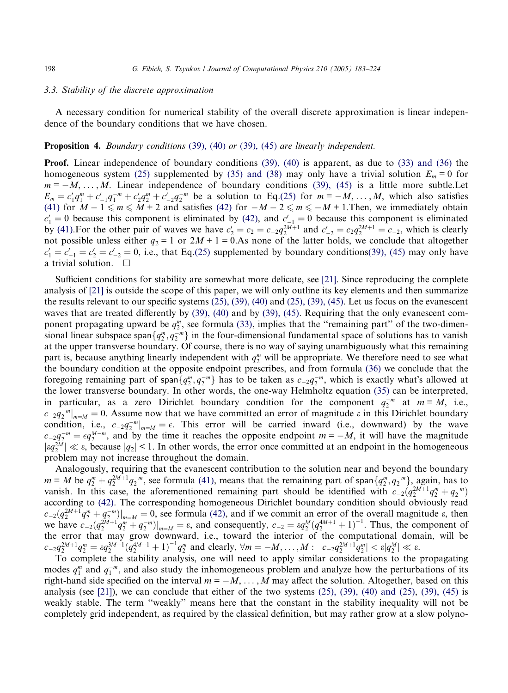## 3.3. Stability of the discrete approximation

A necessary condition for numerical stability of the overall discrete approximation is linear independence of the boundary conditions that we have chosen.

#### Proposition 4. Boundary conditions (39[\), \(](#page-13-0)40) or (39[\), \(](#page-13-0)45) are linearly independent.

Proof. Linear independence of boundary conditions [\(39\), \(40\)](#page-13-0) is apparent, as due to [\(33\) and \(36\)](#page-13-0) the homogeneous system [\(25\)](#page-11-0) supplemented by [\(35\) and \(38\)](#page-13-0) may only have a trivial solution  $E_m = 0$  for  $m = -M, \ldots, M$ . Linear independence of boundary conditions [\(39\), \(45\)](#page-13-0) is a little more subtle. Let  $E_m = c_1'q_1^m + c_{-1}'q_1^{-m} + c_2'q_2^m + c_{-2}'q_2^{-m}$  be a solution to Eq[.\(25\)](#page-11-0) for  $m = -M, \ldots, M$ , which also satisfies [\(41\)](#page-14-0) for  $M-1 \le m \le M+2$  and satisfies [\(42\)](#page-14-0) for  $-M-2 \le m \le -M+1$ . Then, we immediately obtain  $c_1' = 0$  because this component is eliminated by [\(42\)](#page-14-0), and  $c_{-1}' = 0$  because this component is eliminated by [\(41\)](#page-14-0). For the other pair of waves we have  $c'_2 = c_2 = c_{-2}q_2^{2M+1}$  and  $c'_{-2} = c_{2}q_2^{2M+1} = c_{-2}$ , which is clearly not possible unless either  $q_2 = 1$  or  $2M + 1 = 0$ . As none of the latter holds, we conclude that altogether  $c_1' = c_{-1}' = c_2' = c_{-2}' = 0$ , i.e., that Eq.[\(25\)](#page-11-0) supplemented by boundary conditions[\(39\), \(45\)](#page-13-0) may only have a trivial solution.  $\Box$ 

Sufficient conditions for stability are somewhat more delicate, see [\[21\]](#page-41-0). Since reproducing the complete analysis of [\[21\]](#page-41-0) is outside the scope of this paper, we will only outline its key elements and then summarize the results relevant to our specific systems [\(25\), \(39\), \(40\)](#page-11-0) and [\(25\), \(39\), \(45\).](#page-11-0) Let us focus on the evanescent waves that are treated differently by [\(39\), \(40\)](#page-13-0) and by [\(39\), \(45\).](#page-13-0) Requiring that the only evanescent component propagating upward be  $q_2^m$ , see formula [\(33\)](#page-13-0), implies that the "remaining part" of the two-dimensional linear subspace span $\{q_2^m, q_2^{-m}\}$  in the four-dimensional fundamental space of solutions has to vanish at the upper transverse boundary. Of course, there is no way of saying unambiguously what this remaining part is, because anything linearly independent with  $q_2^m$  will be appropriate. We therefore need to see what the boundary condition at the opposite endpoint prescribes, and from formula [\(36\)](#page-13-0) we conclude that the foregoing remaining part of span $\{q_2^m, q_2^{-m}\}$  has to be taken as  $c_{-2}q_2^{-m}$ , which is exactly what's allowed at the lower transverse boundary. In other words, the one-way Helmholtz equation [\(35\)](#page-13-0) can be interpreted, in particular, as a zero Dirichlet boundary condition for the component  $q_2^{-m}$  at  $m = M$ , i.e.,  $c_{-2}q_2^{-m}|_{m=M} = 0$ . Assume now that we have committed an error of magnitude  $\varepsilon$  in this Dirichlet boundary condition, i.e.,  $c_{-2}q_2^{-m}|_{m=M} = \epsilon$ . This error will be carried inward (i.e., downward) by the wave  $c_{-2}q_2^{-m} = \epsilon q_2^{M-m}$ , and by the time it reaches the opposite endpoint  $m = -M$ , it will have the magnitude  $|eq_2^{2M}| \ll \varepsilon$ , because  $|q_2| \leq 1$ . In other words, the error once committed at an endpoint in the homogeneous problem may not increase throughout the domain.

Analogously, requiring that the evanescent contribution to the solution near and beyond the boundary  $m = M$  be  $q_2^m + q_2^{2M+1} q_2^{-m}$ , see formula [\(41\)](#page-14-0), means that the remaining part of span $\{q_2^m, q_2^{-m}\}$ , again, has to vanish. In this case, the aforementioned remaining part should be identified with  $c_{-2}(q_2^{2M+1}q_2^m+q_2^{-m})$ according to [\(42\).](#page-14-0) The corresponding homogeneous Dirichlet boundary condition should obviously read  $c_{-2}(q_2^{2M+1}q_2^m+q_2^{-m})|_{m=M}=0$ , see formula [\(42\)](#page-14-0), and if we commit an error of the overall magnitude  $\varepsilon$ , then we have  $c_{-2}(q_2^{\frac{2M+1}{m}}q_2^m+q_2^{-m})|_{m=M} = \varepsilon$ , and consequently,  $c_{-2} = \varepsilon q_2^M (q_2^{4M+1}+1)^{-1}$ . Thus, the component of the error that may grow downward, i.e., toward the interior of the computational domain, will be  $c_{-2}q_2^{2M+1}q_2^m = \varepsilon q_2^{3M+1}(\bar{q}_2^{4M+1}+1)^{-1}q_2^m$  and clearly,  $\forall m = -M, \ldots, M : \left| c_{-2}q_2^{2M+1}\bar{q}_2^m \right| < \varepsilon |q_2^M| \ll \varepsilon$ .

To complete the stability analysis, one will need to apply similar considerations to the propagating modes  $q_1^m$  and  $q_1^{-m}$ , and also study the inhomogeneous problem and analyze how the perturbations of its right-hand side specified on the interval  $m = -M, \ldots, M$  may affect the solution. Altogether, based on this analysis (see [\[21\]](#page-41-0)), we can conclude that either of the two systems  $(25)$ ,  $(39)$ ,  $(40)$  and  $(25)$ ,  $(39)$ ,  $(45)$  is weakly stable. The term ''weakly'' means here that the constant in the stability inequality will not be completely grid independent, as required by the classical definition, but may rather grow at a slow polyno-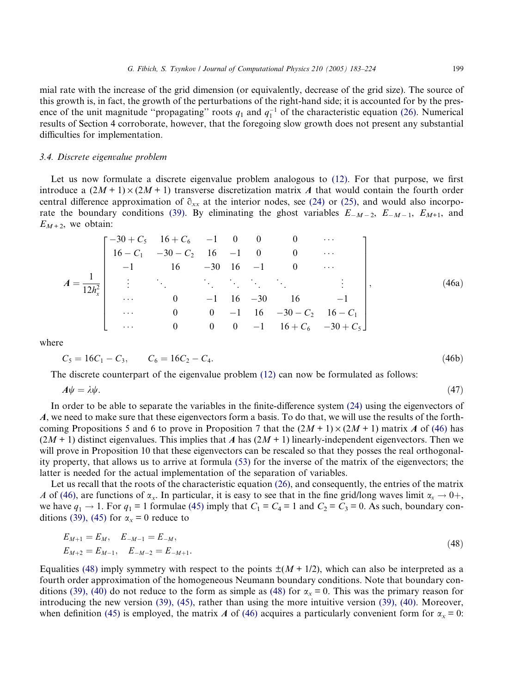<span id="page-16-0"></span>mial rate with the increase of the grid dimension (or equivalently, decrease of the grid size). The source of this growth is, in fact, the growth of the perturbations of the right-hand side; it is accounted for by the presence of the unit magnitude "propagating" roots  $q_1$  and  $q_1^{-1}$  of the characteristic equation [\(26\)](#page-12-0). Numerical results of Section 4 corroborate, however, that the foregoing slow growth does not present any substantial difficulties for implementation.

## 3.4. Discrete eigenvalue problem

Let us now formulate a discrete eigenvalue problem analogous to [\(12\)](#page-7-0). For that purpose, we first introduce a  $(2M + 1) \times (2M + 1)$  transverse discretization matrix A that would contain the fourth order central difference approximation of  $\hat{\sigma}_{xx}$  at the interior nodes, see [\(24\)](#page-11-0) or [\(25\)](#page-11-0), and would also incorpo-rate the boundary conditions [\(39\).](#page-13-0) By eliminating the ghost variables  $E_{-M-2}$ ,  $E_{-M-1}$ ,  $E_{M+1}$ , and  $E_{M+2}$ , we obtain:

$$
A = \frac{1}{12h_x^2} \begin{bmatrix} -30 + C_5 & 16 + C_6 & -1 & 0 & 0 & 0 & \cdots \\ 16 - C_1 & -30 - C_2 & 16 & -1 & 0 & 0 & \cdots \\ -1 & 16 & -30 & 16 & -1 & 0 & \cdots \\ \vdots & \vdots & \ddots & \ddots & \ddots & \vdots & \vdots \\ 0 & -1 & 16 & -30 & 16 & -1 \\ \cdots & 0 & 0 & -1 & 16 & -30 - C_2 & 16 - C_1 \\ \cdots & 0 & 0 & 0 & -1 & 16 + C_6 & -30 + C_5 \end{bmatrix},
$$
(46a)

where

$$
C_5 = 16C_1 - C_3, \qquad C_6 = 16C_2 - C_4. \tag{46b}
$$

The discrete counterpart of the eigenvalue problem [\(12\)](#page-7-0) can now be formulated as follows:

$$
A\psi = \lambda\psi. \tag{47}
$$

In order to be able to separate the variables in the finite-difference system [\(24\)](#page-11-0) using the eigenvectors of A, we need to make sure that these eigenvectors form a basis. To do that, we will use the results of the forthcoming Propositions 5 and 6 to prove in Proposition 7 that the  $(2M + 1) \times (2M + 1)$  matrix A of (46) has  $(2M + 1)$  distinct eigenvalues. This implies that A has  $(2M + 1)$  linearly-independent eigenvectors. Then we will prove in Proposition 10 that these eigenvectors can be rescaled so that they posses the real orthogonality property, that allows us to arrive at formula [\(53\)](#page-19-0) for the inverse of the matrix of the eigenvectors; the latter is needed for the actual implementation of the separation of variables.

Let us recall that the roots of the characteristic equation [\(26\)](#page-12-0), and consequently, the entries of the matrix A of (46), are functions of  $\alpha_x$ . In particular, it is easy to see that in the fine grid/long waves limit  $\alpha_x \to 0^+$ , we have  $q_1 \rightarrow 1$ . For  $q_1 = 1$  formulae [\(45\)](#page-14-0) imply that  $C_1 = C_4 = 1$  and  $C_2 = C_3 = 0$ . As such, boundary con-ditions [\(39\), \(45\)](#page-13-0) for  $\alpha_x = 0$  reduce to

$$
E_{M+1} = E_M, \quad E_{-M-1} = E_{-M},
$$
  
\n
$$
E_{M+2} = E_{M-1}, \quad E_{-M-2} = E_{-M+1}.
$$
\n(48)

Equalities (48) imply symmetry with respect to the points  $\pm(M + 1/2)$ , which can also be interpreted as a fourth order approximation of the homogeneous Neumann boundary conditions. Note that boundary con-ditions [\(39\), \(40\)](#page-13-0) do not reduce to the form as simple as (48) for  $\alpha_x = 0$ . This was the primary reason for introducing the new version [\(39\), \(45\),](#page-13-0) rather than using the more intuitive version [\(39\), \(40\).](#page-13-0) Moreover, when definition [\(45\)](#page-14-0) is employed, the matrix A of (46) acquires a particularly convenient form for  $\alpha_x = 0$ :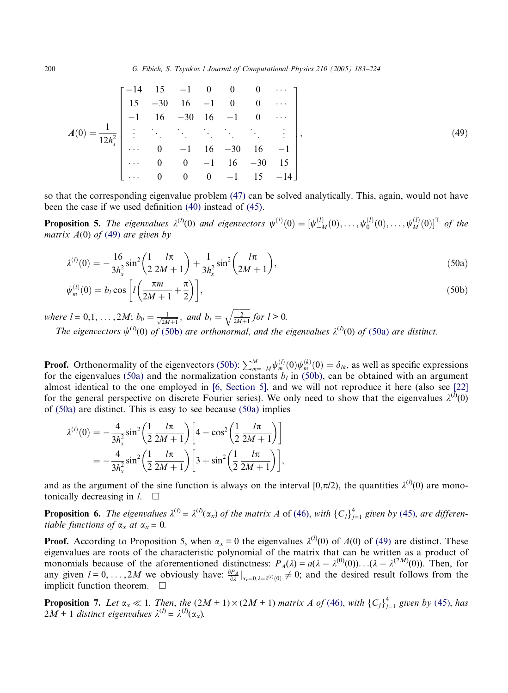<span id="page-17-0"></span>
$$
A(0) = \frac{1}{12h_x^2} \begin{bmatrix} -14 & 15 & -1 & 0 & 0 & 0 & \cdots \\ 15 & -30 & 16 & -1 & 0 & 0 & \cdots \\ -1 & 16 & -30 & 16 & -1 & 0 & \cdots \\ \vdots & \vdots & \ddots & \ddots & \ddots & \ddots & \vdots \\ \cdots & 0 & -1 & 16 & -30 & 16 & -1 \\ \cdots & 0 & 0 & -1 & 16 & -30 & 15 \\ \cdots & 0 & 0 & 0 & -1 & 15 & -14 \end{bmatrix},
$$
 (49)

so that the corresponding eigenvalue problem [\(47\)](#page-16-0) can be solved analytically. This, again, would not have been the case if we used definition [\(40\)](#page-13-0) instead of [\(45\)](#page-14-0).

**Proposition 5.** The eigenvalues  $\lambda^{(l)}(0)$  and eigenvectors  $\psi^{(l)}(0) = [\psi_{-M}^{(l)}(0), \dots, \psi_{0}^{(l)}(0), \dots, \psi_{M}^{(l)}(0)]^{\text{T}}$  of the matrix  $A(0)$  of (49) are given by

$$
\lambda^{(l)}(0) = -\frac{16}{3h_x^2} \sin^2\left(\frac{1}{2}\frac{l\pi}{2M+1}\right) + \frac{1}{3h_x^2} \sin^2\left(\frac{l\pi}{2M+1}\right),\tag{50a}
$$

$$
\psi_m^{(l)}(0) = b_l \cos \left[ l \left( \frac{\pi m}{2M + 1} + \frac{\pi}{2} \right) \right],\tag{50b}
$$

where  $l = 0, 1, ..., 2M$ ;  $b_0 = \frac{1}{\sqrt{2M+1}}$ , and  $b_l =$  $\frac{2}{2M+1}$  $\overline{a}$ for  $l > 0$ . The eigenvectors  $\psi^{(l)}(0)$  of (50b) are orthonormal, and the eigenvalues  $\lambda^{(l)}(0)$  of (50a) are distinct.

**Proof.** Orthonormality of the eigenvectors (50b):  $\sum_{m=-M}^{M} \psi_m^{(l)}(0) \psi_m^{(k)}(0) = \delta_{lk}$ , as well as specific expressions for the eigenvalues (50a) and the normalization constants  $b_l$  in (50b), can be obtained with an argument almost identical to the one employed in [\[6, Section 5\]](#page-40-0), and we will not reproduce it here (also see [\[22\]](#page-41-0) for the general perspective on discrete Fourier series). We only need to show that the eigenvalues  $\lambda^{(\bar{l})}(0)$ of (50a) are distinct. This is easy to see because (50a) implies

$$
\lambda^{(l)}(0) = -\frac{4}{3h_x^2} \sin^2 \left(\frac{1}{2} \frac{l\pi}{2M+1}\right) \left[4 - \cos^2 \left(\frac{1}{2} \frac{l\pi}{2M+1}\right)\right]
$$
  
=  $-\frac{4}{3h_x^2} \sin^2 \left(\frac{1}{2} \frac{l\pi}{2M+1}\right) \left[3 + \sin^2 \left(\frac{1}{2} \frac{l\pi}{2M+1}\right)\right],$ 

and as the argument of the sine function is always on the interval [0, $\pi/2$ ), the quantities  $\lambda^{(l)}(0)$  are monotonically decreasing in  $l$ .  $\Box$ 

**Proposition 6.** The eigenvalues  $\lambda^{(l)} = \lambda^{(l)}(\alpha_x)$  of the matrix A of [\(46\)](#page-16-0), with  ${C_j}_{j=1}^4$  given by ([45](#page-14-0)), are differentiable functions of  $\alpha_x$  at  $\alpha_x = 0$ .

**Proof.** According to Proposition 5, when  $\alpha_x = 0$  the eigenvalues  $\lambda^{(l)}(0)$  of  $A(0)$  of (49) are distinct. These eigenvalues are roots of the characteristic polynomial of the matrix that can be written as a product of monomials because of the aforementioned distinctness:  $P_A(\lambda) = a(\lambda - \lambda^{(0)}(0)) \cdot \ldots (\lambda - \lambda^{(2M)}(0))$ . Then, for any given  $l = 0, \ldots, 2M$  we obviously have:  $\frac{\partial P_A}{\partial \lambda}\big|_{\alpha_x=0, \lambda=\lambda^{(l)}(0)} \neq 0$ ; and the desired result follows from the implicit function theorem.  $\Box$ 

**Proposition 7.** Let  $\alpha_x \ll 1$ . Then, the  $(2M + 1) \times (2M + 1)$  matrix A of [\(46\)](#page-16-0), with  ${C_j}_{j=1}^4$  given by ([45](#page-14-0)), has  $2M + 1$  distinct eigenvalues  $\lambda^{(l)} = \lambda^{(l)}(\alpha_x)$ .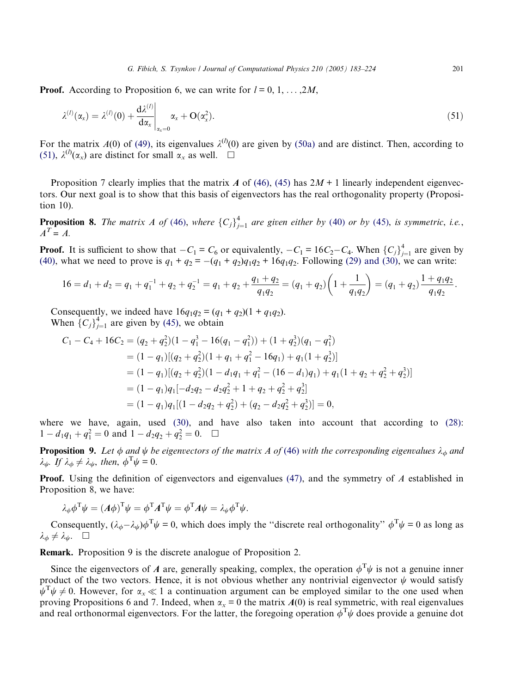**Proof.** According to Proposition 6, we can write for  $l = 0, 1, \ldots, 2M$ ,

$$
\lambda^{(l)}(\alpha_x) = \lambda^{(l)}(0) + \frac{d\lambda^{(l)}}{d\alpha_x}\bigg|_{\alpha_x=0} \alpha_x + O(\alpha_x^2). \tag{51}
$$

For the matrix  $A(0)$  of [\(49\)](#page-17-0), its eigenvalues  $\lambda^{(l)}(0)$  are given by [\(50a\)](#page-17-0) and are distinct. Then, according to (51),  $\lambda^{(l)}(\alpha_x)$  are distinct for small  $\alpha_x$  as well.  $\Box$ 

Proposition 7 clearly implies that the matrix A of [\(46\),](#page-16-0) [\(45\)](#page-14-0) has  $2M + 1$  linearly independent eigenvectors. Our next goal is to show that this basis of eigenvectors has the real orthogonality property (Proposition 10).

**Proposition 8.** The matrix A of [\(46\)](#page-16-0), where  ${C_j}_{j=1}^4$  are given either by ([40](#page-13-0)) or by ([45](#page-14-0)), is symmetric, i.e.,  $A^T = A$ .

**Proof.** It is sufficient to show that  $-C_1 = C_6$  or equivalently,  $-C_1 = 16C_2 - C_4$ . When  $\{C_j\}_{j=1}^4$  are given by [\(40\)](#page-13-0), what we need to prove is  $q_1 + q_2 = -(q_1 + q_2)q_1q_2 + 16q_1q_2$ . Following [\(29\) and \(30\),](#page-12-0) we can write:

$$
16 = d_1 + d_2 = q_1 + q_1^{-1} + q_2 + q_2^{-1} = q_1 + q_2 + \frac{q_1 + q_2}{q_1 q_2} = (q_1 + q_2) \left( 1 + \frac{1}{q_1 q_2} \right) = (q_1 + q_2) \frac{1 + q_1 q_2}{q_1 q_2}.
$$

Consequently, we indeed have  $16q_1q_2 = (q_1 + q_2)(1 + q_1q_2)$ . When  $\{C_j\}_{j=1}^4$  are given by [\(45\)](#page-14-0), we obtain

$$
C_1 - C_4 + 16C_2 = (q_2 + q_2^2)(1 - q_1^3 - 16(q_1 - q_1^2)) + (1 + q_2^3)(q_1 - q_1^2)
$$
  
=  $(1 - q_1)[(q_2 + q_2^2)(1 + q_1 + q_1^2 - 16q_1) + q_1(1 + q_2^3)]$   
=  $(1 - q_1)[(q_2 + q_2^2)(1 - d_1q_1 + q_1^2 - (16 - d_1)q_1) + q_1(1 + q_2 + q_2^2 + q_2^3)]$   
=  $(1 - q_1)q_1[-d_2q_2 - d_2q_2^2 + 1 + q_2 + q_2^2 + q_2^3]$   
=  $(1 - q_1)q_1[(1 - d_2q_2 + q_2^2) + (q_2 - d_2q_2^2 + q_2^3)] = 0,$ 

where we have, again, used [\(30\)](#page-12-0), and have also taken into account that according to [\(28\)](#page-12-0):  $1 - d_1q_1 + q_1^2 = 0$  and  $1 - d_2q_2 + q_2^2 = 0$ .  $\Box$ 

**Proposition 9.** Let  $\phi$  and  $\psi$  be eigenvectors of the matrix A of [\(46\)](#page-16-0) with the corresponding eigenvalues  $\lambda_{\phi}$  and  $\lambda_{\psi}$ . If  $\lambda_{\phi} \neq \lambda_{\psi}$ , then,  $\phi^{\mathrm{T}} \psi = 0$ .

Proof. Using the definition of eigenvectors and eigenvalues [\(47\),](#page-16-0) and the symmetry of A established in Proposition 8, we have:

$$
\lambda_{\phi} \phi^{\mathrm{T}} \psi = (A \phi)^{\mathrm{T}} \psi = \phi^{\mathrm{T}} A^{\mathrm{T}} \psi = \phi^{\mathrm{T}} A \psi = \lambda_{\psi} \phi^{\mathrm{T}} \psi.
$$

Consequently,  $(\lambda_{\phi} - \lambda_{\psi})\phi^T \psi = 0$ , which does imply the "discrete real orthogonality"  $\phi^T \psi = 0$  as long as  $\lambda_{\phi} \neq \lambda_{\psi}$ .  $\Box$ 

Remark. Proposition 9 is the discrete analogue of Proposition 2.

Since the eigenvectors of A are, generally speaking, complex, the operation  $\phi^T \psi$  is not a genuine inner product of the two vectors. Hence, it is not obvious whether any nontrivial eigenvector  $\psi$  would satisfy  $\psi^T \psi \neq 0$ . However, for  $\alpha_x \ll 1$  a continuation argument can be employed similar to the one used when proving Propositions 6 and 7. Indeed, when  $\alpha_x = 0$  the matrix  $A(0)$  is real symmetric, with real eigenvalues and real orthonormal eigenvectors. For the latter, the foregoing operation  $\phi^T \psi$  does provide a genuine dot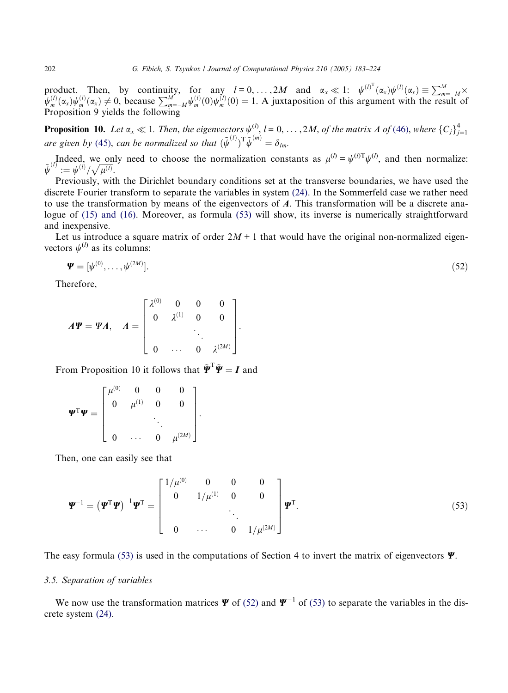<span id="page-19-0"></span>product. Then, by continuity, for any  $l = 0, ..., 2M$  and  $\alpha_x \ll 1$ :  $\psi^{(l)^T}(\alpha_x)\psi^{(l)}(\alpha_x) \equiv \sum_{m=-M}^{M} \times$  $\psi_m^{(0)}(x_x)\psi_m^{(1)}(x_x) \neq 0$ , because  $\sum_{m=-M}^M \psi_m^{(0)}(0)\psi_m^{(1)}(0) = 1$ . A juxtaposition of this argument with the result of Proposition 9 yields the following

**Proposition 10.** Let  $\alpha_x \ll 1$ . Then, the eigenvectors  $\psi^{(l)}$ ,  $l = 0, \ldots, 2M$ , of the matrix A of [\(46\)](#page-16-0), where  $\{C_j\}_{j=1}^4$  are given by ([45](#page-14-0)), can be normalized so that  $(\tilde{\psi}^{(l)})^T \tilde{\psi}^{(m)} = \delta_{lm}$ .

Indeed, we only need to choose the normalization constants as  $\mu^{(l)} = \psi^{(l)T}\psi^{(l)}$ , and then normalize:<br> $\tilde{\psi}^{(l)} := \psi^{(l)}/\sqrt{\mu^{(l)}}$ .

Previously, with the Dirichlet boundary conditions set at the transverse boundaries, we have used the discrete Fourier transform to separate the variables in system [\(24\).](#page-11-0) In the Sommerfeld case we rather need to use the transformation by means of the eigenvectors of A. This transformation will be a discrete analogue of [\(15\) and \(16\)](#page-8-0). Moreover, as formula (53) will show, its inverse is numerically straightforward and inexpensive.

Let us introduce a square matrix of order  $2M + 1$  that would have the original non-normalized eigenvectors  $\psi^{(l)}$  as its columns:

$$
\mathbf{\Psi} = [\psi^{(0)}, \dots, \psi^{(2M)}]. \tag{52}
$$

Therefore,

$$
A\Psi = \Psi A, \quad A = \begin{bmatrix} \lambda^{(0)} & 0 & 0 & 0 \\ 0 & \lambda^{(1)} & 0 & 0 \\ & & \ddots & \\ 0 & \cdots & 0 & \lambda^{(2M)} \end{bmatrix}.
$$

From Proposition 10 it follows that  $\tilde{\Psi}^T \tilde{\Psi} = I$  and

$$
\mathbf{\Psi}^{\mathrm{T}}\mathbf{\Psi} = \begin{bmatrix} \mu^{(0)} & 0 & 0 & 0 \\ 0 & \mu^{(1)} & 0 & 0 \\ & & \ddots & \\ 0 & \cdots & 0 & \mu^{(2M)} \end{bmatrix}.
$$

Then, one can easily see that

$$
\mathbf{\Psi}^{-1} = (\mathbf{\Psi}^{\mathrm{T}} \mathbf{\Psi})^{-1} \mathbf{\Psi}^{\mathrm{T}} = \begin{bmatrix} 1/\mu^{(0)} & 0 & 0 & 0 \\ 0 & 1/\mu^{(1)} & 0 & 0 \\ & & \ddots & \ddots & \\ 0 & \cdots & 0 & 1/\mu^{(2M)} \end{bmatrix} \mathbf{\Psi}^{\mathrm{T}}.
$$
 (53)

The easy formula (53) is used in the computations of Section 4 to invert the matrix of eigenvectors  $\Psi$ .

# 3.5. Separation of variables

We now use the transformation matrices  $\Psi$  of (52) and  $\Psi^{-1}$  of (53) to separate the variables in the discrete system [\(24\).](#page-11-0)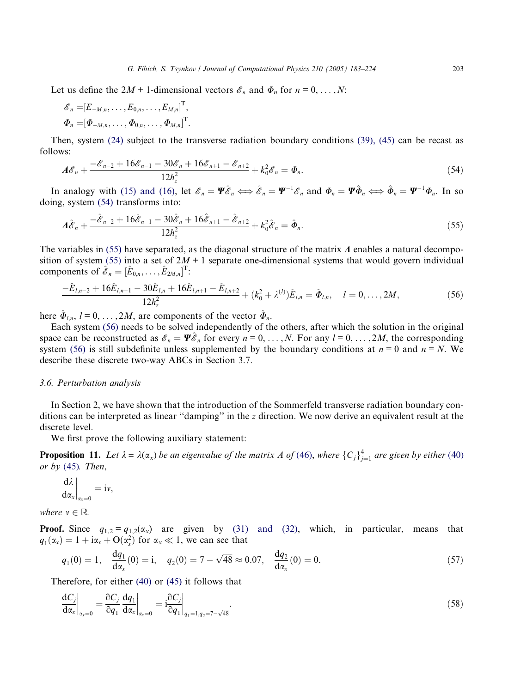<span id="page-20-0"></span>Let us define the  $2M + 1$ -dimensional vectors  $\mathcal{E}_n$  and  $\Phi_n$  for  $n = 0, \ldots, N$ :

$$
\mathscr{E}_n = [E_{-M,n}, \dots, E_{0,n}, \dots, E_{M,n}]^{\mathrm{T}}, \n\Phi_n = [\Phi_{-M,n}, \dots, \Phi_{0,n}, \dots, \Phi_{M,n}]^{\mathrm{T}}.
$$

Then, system [\(24\)](#page-11-0) subject to the transverse radiation boundary conditions [\(39\), \(45\)](#page-13-0) can be recast as follows:

$$
A\mathscr{E}_n + \frac{-\mathscr{E}_{n-2} + 16\mathscr{E}_{n-1} - 30\mathscr{E}_n + 16\mathscr{E}_{n+1} - \mathscr{E}_{n+2}}{12h_z^2} + k_0^2 \mathscr{E}_n = \Phi_n.
$$
\n(54)

In analogy with [\(15\) and \(16\)](#page-8-0), let  $\mathscr{E}_n = \Psi \hat{\mathscr{E}}_n \Longleftrightarrow \hat{\mathscr{E}}_n = \Psi^{-1} \mathscr{E}_n$  and  $\Phi_n = \Psi \hat{\Phi}_n \Longleftrightarrow \hat{\Phi}_n = \Psi^{-1} \Phi_n$ . In so doing, system (54) transforms into:

$$
A\hat{\mathscr{E}}_n + \frac{-\hat{\mathscr{E}}_{n-2} + 16\hat{\mathscr{E}}_{n-1} - 30\hat{\mathscr{E}}_n + 16\hat{\mathscr{E}}_{n+1} - \hat{\mathscr{E}}_{n+2}}{12h_z^2} + k_0^2\hat{\mathscr{E}}_n = \hat{\Phi}_n.
$$
\n(55)

The variables in  $(55)$  have separated, as the diagonal structure of the matrix  $\Lambda$  enables a natural decomposition of system (55) into a set of  $2M + 1$  separate one-dimensional systems that would govern individual components of  $\hat{\mathscr{E}}_n = [\hat{E}_{0,n}, \dots, \hat{E}_{2M,n}]^{\text{T}}$ :

$$
\frac{-\hat{E}_{l,n-2} + 16\hat{E}_{l,n-1} - 30\hat{E}_{l,n} + 16\hat{E}_{l,n+1} - \hat{E}_{l,n+2}}{12h_z^2} + (k_0^2 + \lambda^{(l)})\hat{E}_{l,n} = \hat{\Phi}_{l,n}, \quad l = 0, \dots, 2M,
$$
\n(56)

here  $\hat{\Phi}_{l,n}$ ,  $l = 0, \ldots, 2M$ , are components of the vector  $\hat{\Phi}_n$ .

Each system (56) needs to be solved independently of the others, after which the solution in the original space can be reconstructed as  $\mathscr{E}_n = \Psi \mathscr{E}_n$  for every  $n = 0, \ldots, N$ . For any  $l = 0, \ldots, 2M$ , the corresponding system (56) is still subdefinite unless supplemented by the boundary conditions at  $n = 0$  and  $n = N$ . We describe these discrete two-way ABCs in Section 3.7.

#### 3.6. Perturbation analysis

In Section 2, we have shown that the introduction of the Sommerfeld transverse radiation boundary conditions can be interpreted as linear "damping" in the z direction. We now derive an equivalent result at the discrete level.

We first prove the following auxiliary statement:

**Proposition 11.** Let  $\lambda = \lambda(\alpha_x)$  be an eigenvalue of the matrix A of [\(46\)](#page-16-0), where  ${C_j}_{j=1}^4$  are given by either ([40](#page-13-0)) or by  $(45)$  $(45)$  $(45)$ . Then,

$$
\left.\frac{d\lambda}{d\alpha_x}\right|_{\alpha_x=0}=i\nu,
$$

where  $v \in \mathbb{R}$ .

**Proof.** Since  $q_{1,2} = q_{1,2}(\alpha_x)$  are given by [\(31\) and \(32\),](#page-12-0) which, in particular, means that  $q_1(\alpha_x) = 1 + i\alpha_x + O(\alpha_x^2)$  for  $\alpha_x \ll 1$ , we can see that

$$
q_1(0) = 1, \quad \frac{dq_1}{d\alpha_x}(0) = i, \quad q_2(0) = 7 - \sqrt{48} \approx 0.07, \quad \frac{dq_2}{d\alpha_x}(0) = 0. \tag{57}
$$

Therefore, for either [\(40\)](#page-13-0) or [\(45\)](#page-14-0) it follows that

$$
\left. \frac{\mathrm{d}C_j}{\mathrm{d}\alpha_x} \right|_{\alpha_x=0} = \left. \frac{\partial C_j}{\partial q_1} \frac{\mathrm{d}q_1}{\mathrm{d}\alpha_x} \right|_{\alpha_x=0} = \left. \mathbf{i} \frac{\partial C_j}{\partial q_1} \right|_{q_1=1, q_2=7-\sqrt{48}}.\tag{58}
$$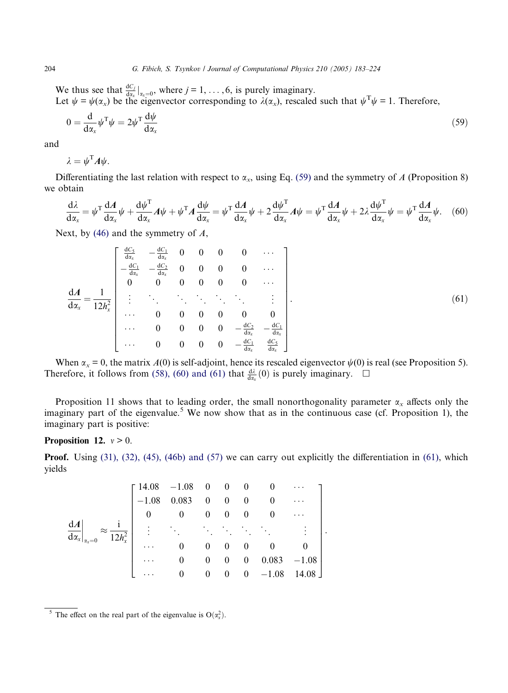We thus see that  $\frac{dC_j}{dx} \big|_{dx=0}$ , where  $j = 1, \ldots, 6$ , is purely imaginary. Let  $\psi = \psi(\alpha_x)$  be the eigenvector corresponding to  $\lambda(\alpha_x)$ , rescaled such that  $\psi^T \psi = 1$ . Therefore,

$$
0 = \frac{\mathrm{d}}{\mathrm{d}\alpha_x} \psi^{\mathrm{T}} \psi = 2\psi^{\mathrm{T}} \frac{\mathrm{d}\psi}{\mathrm{d}\alpha_x} \tag{59}
$$

and

$$
\lambda = \psi^{\mathrm{T}} A \psi.
$$

Differentiating the last relation with respect to  $\alpha_x$ , using Eq. (59) and the symmetry of A (Proposition 8) we obtain

$$
\frac{d\lambda}{d\alpha_x} = \psi^T \frac{dA}{d\alpha_x} \psi + \frac{d\psi^T}{d\alpha_x} A \psi + \psi^T A \frac{d\psi}{d\alpha_x} = \psi^T \frac{dA}{d\alpha_x} \psi + 2 \frac{d\psi^T}{d\alpha_x} A \psi = \psi^T \frac{dA}{d\alpha_x} \psi + 2\lambda \frac{d\psi^T}{d\alpha_x} \psi = \psi^T \frac{dA}{d\alpha_x} \psi. \tag{60}
$$

Next, by  $(46)$  and the symmetry of  $A$ ,

$$
\frac{dA}{dx_x} = \frac{1}{12h_x^2} \begin{bmatrix} \frac{dC_5}{dx_x} & -\frac{dC_1}{dx_x} & 0 & 0 & 0 & 0 & \cdots \\ -\frac{dC_1}{dx_x} & -\frac{dC_2}{dx_x} & 0 & 0 & 0 & 0 & \cdots \\ 0 & 0 & 0 & 0 & 0 & 0 & \cdots \\ \vdots & \vdots & \ddots & \ddots & \ddots & \ddots & \vdots \\ \vdots & \vdots & \ddots & \ddots & \ddots & \ddots & \vdots \\ \vdots & \vdots & \ddots & \ddots & \ddots & \ddots & \vdots \\ \vdots & \vdots & \ddots & \vdots & \ddots & \ddots & \ddots \\ \vdots & \vdots & \vdots & \ddots & \ddots & \ddots & \vdots \\ \vdots & \vdots & \vdots & \ddots & \ddots & \ddots & \vdots \\ \vdots & \vdots & \vdots & \ddots & \ddots & \ddots & \vdots \\ \vdots & \vdots & \vdots & \ddots & \ddots & \ddots & \vdots \\ \vdots & \vdots & \vdots & \ddots & \ddots & \vdots \\ \vdots & \vdots & \vdots & \ddots & \ddots & \vdots \\ \vdots & \vdots & \vdots & \ddots & \ddots & \ddots & \vdots \\ \vdots & \vdots & \vdots & \ddots & \ddots & \ddots & \vdots \\ \vdots & \vdots & \vdots & \ddots & \ddots & \vdots \\ \vdots & \vdots & \vdots & \vdots & \ddots & \vdots \\ \vdots & \vdots & \vdots & \vdots & \ddots & \vdots \\ \vdots & \vdots & \vdots & \vdots & \ddots & \vdots \\ \vdots & \vdots & \vdots & \vdots & \ddots & \vdots \\ \vdots & \vdots & \vdots & \ddots & \vdots \\ \vdots & \vdots & \vdots & \ddots & \vdots \\ \vdots & \vdots & \vdots & \ddots & \vdots \\ \vdots & \vdots & \vdots & \ddots & \vdots \\ \vdots & \vdots & \vdots & \ddots & \vdots \\ \vdots & \vdots & \vdots & \ddots & \vdots \\ \vdots & \vdots & \vdots & \ddots & \vdots \\ \vdots & \vdots & \vdots & \ddots & \vdots \\ \vdots & \vdots & \vdots & \ddots & \vdots
$$

When  $\alpha_x = 0$ , the matrix  $A(0)$  is self-adjoint, hence its rescaled eigenvector  $\psi(0)$  is real (see Proposition 5). Therefore, it follows from [\(58\), \(60\) and \(61\)](#page-20-0) that  $\frac{d\lambda}{dx}$  (0) is purely imaginary.  $\Box$ 

Proposition 11 shows that to leading order, the small nonorthogonality parameter  $\alpha_x$  affects only the imaginary part of the eigenvalue.<sup>5</sup> We now show that as in the continuous case (cf. Proposition 1), the imaginary part is positive:

# Proposition 12.  $v > 0$ .

**Proof.** Using [\(31\), \(32\), \(45\), \(46b\) and \(57\)](#page-12-0) we can carry out explicitly the differentiation in (61), which yields

$$
\frac{dA}{dx_x}\Big|_{x_x=0} \approx \frac{i}{12h_x^2} \begin{bmatrix} 14.08 & -1.08 & 0 & 0 & 0 & 0 & \cdots \\ -1.08 & 0.083 & 0 & 0 & 0 & 0 & \cdots \\ 0 & 0 & 0 & 0 & 0 & 0 & \cdots \\ \vdots & \vdots & \ddots & \ddots & \ddots & \ddots & \vdots \\ 0 & 0 & 0 & 0 & 0 & 0 & 0 \\ \cdots & 0 & 0 & 0 & 0 & 0.083 & -1.08 \\ \cdots & 0 & 0 & 0 & 0 & -1.08 & 14.08 \end{bmatrix}.
$$

<span id="page-21-0"></span>

<sup>&</sup>lt;sup>5</sup> The effect on the real part of the eigenvalue is  $O(\alpha_x^2)$ .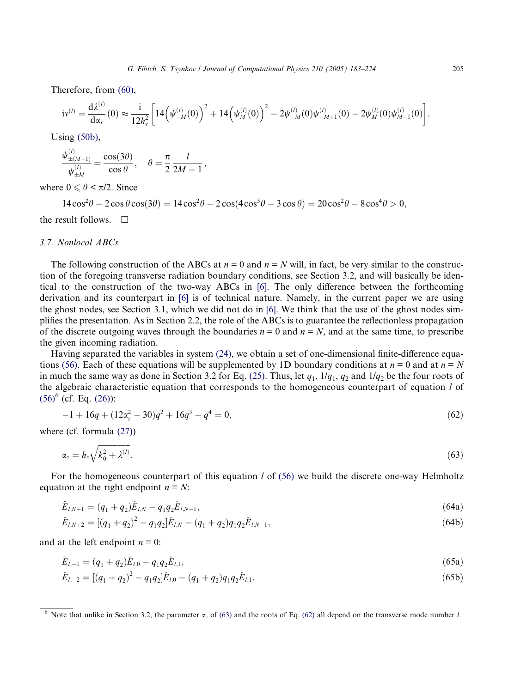<span id="page-22-0"></span>Therefore, from [\(60\)](#page-21-0),

$$
iv^{(l)} = \frac{d \lambda^{(l)}}{d x_x}(0) \approx \frac{i}{12 h_x^2} \left[ 14 \left( \psi_{-M}^{(l)}(0) \right)^2 + 14 \left( \psi_M^{(l)}(0) \right)^2 - 2 \psi_{-M}^{(l)}(0) \psi_{-M+1}^{(l)}(0) - 2 \psi_M^{(l)}(0) \psi_{M-1}^{(l)}(0) \right]
$$

Using (50b),

$$
\frac{\psi_{\pm (M-1)}^{(l)}}{\psi_{\pm M}^{(l)}} = \frac{\cos(3\theta)}{\cos \theta}, \quad \theta = \frac{\pi}{2} \frac{l}{2M+1},
$$

where  $0 \le \theta \le \pi/2$ . Since

 $14\cos^2\theta - 2\cos\theta\cos(3\theta) = 14\cos^2\theta - 2\cos(4\cos^3\theta - 3\cos\theta) = 20\cos^2\theta - 8\cos^4\theta > 0,$ 

the result follows.  $\Box$ 

#### 3.7. Nonlocal ABCs

The following construction of the ABCs at  $n = 0$  and  $n = N$  will, in fact, be very similar to the construction of the foregoing transverse radiation boundary conditions, see Section 3.2, and will basically be identical to the construction of the two-way ABCs in [\[6\]](#page-40-0). The only difference between the forthcoming derivation and its counterpart in [\[6\]](#page-40-0) is of technical nature. Namely, in the current paper we are using the ghost nodes, see Section 3.1, which we did not do in [\[6\].](#page-40-0) We think that the use of the ghost nodes simplifies the presentation. As in Section 2.2, the role of the ABCs is to guarantee the reflectionless propagation of the discrete outgoing waves through the boundaries  $n = 0$  and  $n = N$ , and at the same time, to prescribe the given incoming radiation.

Having separated the variables in system [\(24\),](#page-11-0) we obtain a set of one-dimensional finite-difference equa-tions [\(56\).](#page-20-0) Each of these equations will be supplemented by 1D boundary conditions at  $n = 0$  and at  $n = N$ in much the same way as done in Section 3.2 for Eq. [\(25\).](#page-11-0) Thus, let  $q_1$ ,  $1/q_1$ ,  $q_2$  and  $1/q_2$  be the four roots of the algebraic characteristic equation that corresponds to the homogeneous counterpart of equation l of  $(56)^6$  $(56)^6$  (cf. Eq. [\(26\)](#page-12-0)):

$$
-1 + 16q + (12\alpha_z^2 - 30)q^2 + 16q^3 - q^4 = 0,
$$
\n(62)

where (cf. formula [\(27\)](#page-12-0))

$$
\alpha_z = h_z \sqrt{k_0^2 + \lambda^{(l)}}.\tag{63}
$$

For the homogeneous counterpart of this equation  $l$  of [\(56\)](#page-20-0) we build the discrete one-way Helmholtz equation at the right endpoint  $n = N$ :

$$
\hat{E}_{l,N+1} = (q_1 + q_2)\hat{E}_{l,N} - q_1 q_2 \hat{E}_{l,N-1},
$$
\n(64a)

$$
\hat{E}_{l,N+2} = \left[ (q_1 + q_2)^2 - q_1 q_2 \right] \hat{E}_{l,N} - (q_1 + q_2) q_1 q_2 \hat{E}_{l,N-1},\tag{64b}
$$

and at the left endpoint  $n = 0$ :

$$
\hat{E}_{l,-1} = (q_1 + q_2)\hat{E}_{l,0} - q_1 q_2 \hat{E}_{l,1},\tag{65a}
$$

$$
\hat{E}_{l,-2} = [(q_1 + q_2)^2 - q_1 q_2] \hat{E}_{l,0} - (q_1 + q_2) q_1 q_2 \hat{E}_{l,1}.
$$
\n(65b)

.

<sup>&</sup>lt;sup>6</sup> Note that unlike in Section 3.2, the parameter  $\alpha_z$  of (63) and the roots of Eq. (62) all depend on the transverse mode number *l*.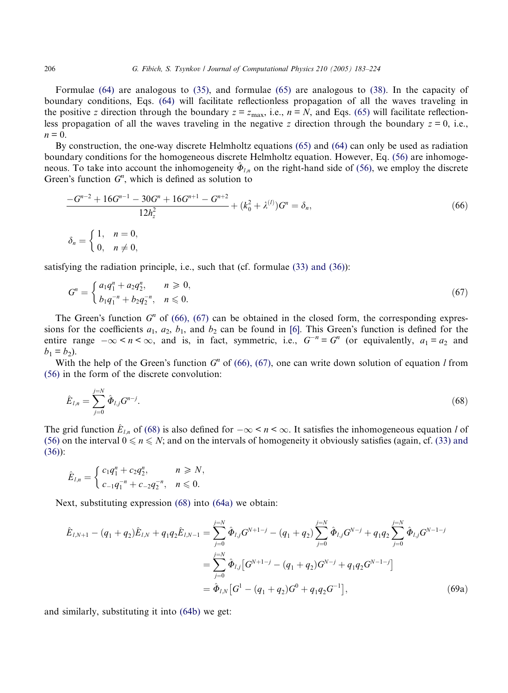Formulae [\(64\)](#page-22-0) are analogous to [\(35\),](#page-13-0) and formulae [\(65\)](#page-22-0) are analogous to [\(38\)](#page-13-0). In the capacity of boundary conditions, Eqs. [\(64\)](#page-22-0) will facilitate reflectionless propagation of all the waves traveling in the positive z direction through the boundary  $z = z_{\text{max}}$ , i.e.,  $n = N$ , and Eqs. [\(65\)](#page-22-0) will facilitate reflectionless propagation of all the waves traveling in the negative z direction through the boundary  $z = 0$ , i.e.,  $n = 0$ .

By construction, the one-way discrete Helmholtz equations [\(65\)](#page-22-0) and [\(64\)](#page-22-0) can only be used as radiation boundary conditions for the homogeneous discrete Helmholtz equation. However, Eq. [\(56\)](#page-20-0) are inhomogeneous. To take into account the inhomogeneity  $\Phi_{l,n}$  on the right-hand side of [\(56\)](#page-20-0), we employ the discrete Green's function  $G<sup>n</sup>$ , which is defined as solution to

$$
\frac{-G^{n-2} + 16G^{n-1} - 30G^n + 16G^{n+1} - G^{n+2}}{12h_z^2} + (k_0^2 + \lambda^{(1)})G^n = \delta_n,
$$
  
\n
$$
\delta_n = \begin{cases} 1, & n = 0, \\ 0, & n \neq 0, \end{cases} \tag{66}
$$

satisfying the radiation principle, i.e., such that (cf. formulae [\(33\) and \(36\)](#page-13-0)):

$$
G^{n} = \begin{cases} a_{1}q_{1}^{n} + a_{2}q_{2}^{n}, & n \geq 0, \\ b_{1}q_{1}^{-n} + b_{2}q_{2}^{-n}, & n \leq 0. \end{cases}
$$
 (67)

The Green's function  $G<sup>n</sup>$  of (66), (67) can be obtained in the closed form, the corresponding expressions for the coefficients  $a_1$ ,  $a_2$ ,  $b_1$ , and  $b_2$  can be found in [\[6\]](#page-40-0). This Green's function is defined for the entire range  $-\infty < n < \infty$ , and is, in fact, symmetric, i.e.,  $G^{-n} = G^n$  (or equivalently,  $a_1 = a_2$  and  $b_1 = b_2$ ).

With the help of the Green's function  $G<sup>n</sup>$  of (66), (67), one can write down solution of equation l from [\(56\)](#page-20-0) in the form of the discrete convolution:

$$
\hat{E}_{l,n} = \sum_{j=0}^{j=N} \hat{\Phi}_{l,j} G^{n-j}.
$$
\n(68)

The grid function  $E_{l,n}$  of (68) is also defined for  $-\infty < n < \infty$ . It satisfies the inhomogeneous equation l of [\(56\)](#page-20-0) on the interval  $0 \le n \le N$ ; and on the intervals of homogeneity it obviously satisfies (again, cf. [\(33\) and](#page-13-0) [\(36\)](#page-13-0)):

$$
\hat{E}_{l,n} = \begin{cases} c_1 q_1^n + c_2 q_2^n, & n \ge N, \\ c_{-1} q_1^{-n} + c_{-2} q_2^{-n}, & n \le 0. \end{cases}
$$

Next, substituting expression (68) into [\(64a\)](#page-22-0) we obtain:

$$
\hat{E}_{l,N+1} - (q_1 + q_2)\hat{E}_{l,N} + q_1 q_2 \hat{E}_{l,N-1} = \sum_{j=0}^{j=N} \hat{\Phi}_{l,j} G^{N+1-j} - (q_1 + q_2) \sum_{j=0}^{j=N} \hat{\Phi}_{l,j} G^{N-j} + q_1 q_2 \sum_{j=0}^{j=N} \hat{\Phi}_{l,j} G^{N-1-j}
$$

$$
= \sum_{j=0}^{j=N} \hat{\Phi}_{l,j} \left[ G^{N+1-j} - (q_1 + q_2) G^{N-j} + q_1 q_2 G^{N-1-j} \right]
$$

$$
= \hat{\Phi}_{l,N} \left[ G^1 - (q_1 + q_2) G^0 + q_1 q_2 G^{-1} \right], \tag{69a}
$$

and similarly, substituting it into (64b) we get:

<span id="page-23-0"></span>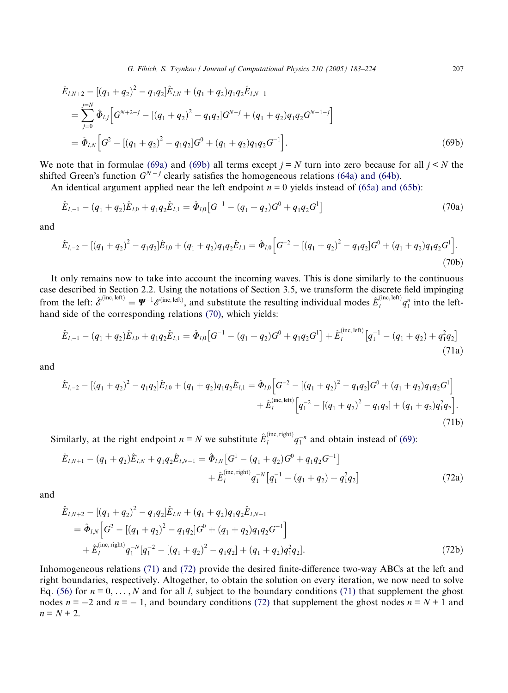<span id="page-24-0"></span>
$$
\hat{E}_{l,N+2} - [(q_1 + q_2)^2 - q_1 q_2] \hat{E}_{l,N} + (q_1 + q_2) q_1 q_2 \hat{E}_{l,N-1}
$$
\n
$$
= \sum_{j=0}^{j=N} \hat{\Phi}_{l,j} \Big[ G^{N+2-j} - [(q_1 + q_2)^2 - q_1 q_2] G^{N-j} + (q_1 + q_2) q_1 q_2 G^{N-1-j} \Big]
$$
\n
$$
= \hat{\Phi}_{l,N} \Big[ G^2 - [(q_1 + q_2)^2 - q_1 q_2] G^0 + (q_1 + q_2) q_1 q_2 G^{-1} \Big].
$$
\n(69b)

We note that in formulae [\(69a\)](#page-23-0) and (69b) all terms except  $j = N$  turn into zero because for all  $j \le N$  the shifted Green's function  $G^{\hat{N}-j}$  clearly satisfies the homogeneous relations [\(64a\) and \(64b\).](#page-22-0)

An identical argument applied near the left endpoint  $n = 0$  yields instead of [\(65a\) and \(65b\):](#page-22-0)

$$
\hat{E}_{l,-1} - (q_1 + q_2)\hat{E}_{l,0} + q_1 q_2 \hat{E}_{l,1} = \hat{\Phi}_{l,0} \left[ G^{-1} - (q_1 + q_2)G^0 + q_1 q_2 G^1 \right]
$$
\n(70a)

and

$$
\hat{E}_{l,-2} - [(q_1 + q_2)^2 - q_1 q_2] \hat{E}_{l,0} + (q_1 + q_2) q_1 q_2 \hat{E}_{l,1} = \hat{\Phi}_{l,0} \Big[ G^{-2} - [(q_1 + q_2)^2 - q_1 q_2] G^0 + (q_1 + q_2) q_1 q_2 G^1 \Big].
$$
\n(70b)

It only remains now to take into account the incoming waves. This is done similarly to the continuous case described in Section 2.2. Using the notations of Section 3.5, we transform the discrete field impinging from the left:  $\hat{\mathscr{E}}^{(\text{inc}, \text{left})} = \Psi^{-1} \mathscr{E}^{(\text{inc}, \text{left})}$ , and substitute the resulting individual modes  $\hat{E}^{(\text{inc}, \text{left})}_l q_1^n$  into the lefthand side of the corresponding relations (70), which yields:

$$
\hat{E}_{l,-1} - (q_1 + q_2)\hat{E}_{l,0} + q_1 q_2 \hat{E}_{l,1} = \hat{\Phi}_{l,0} \left[ G^{-1} - (q_1 + q_2)G^0 + q_1 q_2 G^1 \right] + \hat{E}_l^{\text{(inc, left)}} \left[ q_1^{-1} - (q_1 + q_2) + q_1^2 q_2 \right]
$$
\n(71a)

and

$$
\hat{E}_{l,-2} - [(q_1 + q_2)^2 - q_1 q_2] \hat{E}_{l,0} + (q_1 + q_2) q_1 q_2 \hat{E}_{l,1} = \hat{\Phi}_{l,0} \Big[ G^{-2} - [(q_1 + q_2)^2 - q_1 q_2] G^0 + (q_1 + q_2) q_1 q_2 G^1 \Big] \n+ \hat{E}_l^{(\text{inc},\text{left})} \Big[ q_1^{-2} - [(q_1 + q_2)^2 - q_1 q_2] + (q_1 + q_2) q_1^2 q_2 \Big].
$$
\n(71b)

Similarly, at the right endpoint  $n = N$  we substitute  $\hat{E}^{(\text{inc},\text{right})}_l q_1^{-n}$  and obtain instead of [\(69\):](#page-23-0)

$$
\hat{E}_{l,N+1} - (q_1 + q_2)\hat{E}_{l,N} + q_1 q_2 \hat{E}_{l,N-1} = \hat{\Phi}_{l,N} \left[ G^1 - (q_1 + q_2)G^0 + q_1 q_2 G^{-1} \right] \n+ \hat{E}_l^{(\text{inc}, \text{right})} q_1^{-N} \left[ q_1^{-1} - (q_1 + q_2) + q_1^2 q_2 \right]
$$
\n(72a)

and

$$
\hat{E}_{l,N+2} - [(q_1 + q_2)^2 - q_1 q_2] \hat{E}_{l,N} + (q_1 + q_2) q_1 q_2 \hat{E}_{l,N-1}
$$
\n
$$
= \hat{\Phi}_{l,N} \Big[ G^2 - [(q_1 + q_2)^2 - q_1 q_2] G^0 + (q_1 + q_2) q_1 q_2 G^{-1} \Big] + \hat{E}_l^{(\text{inc}, \text{right})} q_1^{-N} [q_1^{-2} - [(q_1 + q_2)^2 - q_1 q_2] + (q_1 + q_2) q_1^2 q_2]. \tag{72b}
$$

Inhomogeneous relations (71) and (72) provide the desired finite-difference two-way ABCs at the left and right boundaries, respectively. Altogether, to obtain the solution on every iteration, we now need to solve Eq. [\(56\)](#page-20-0) for  $n = 0, \ldots, N$  and for all l, subject to the boundary conditions (71) that supplement the ghost nodes  $n = -2$  and  $n = -1$ , and boundary conditions (72) that supplement the ghost nodes  $n = N + 1$  and  $n = N + 2$ .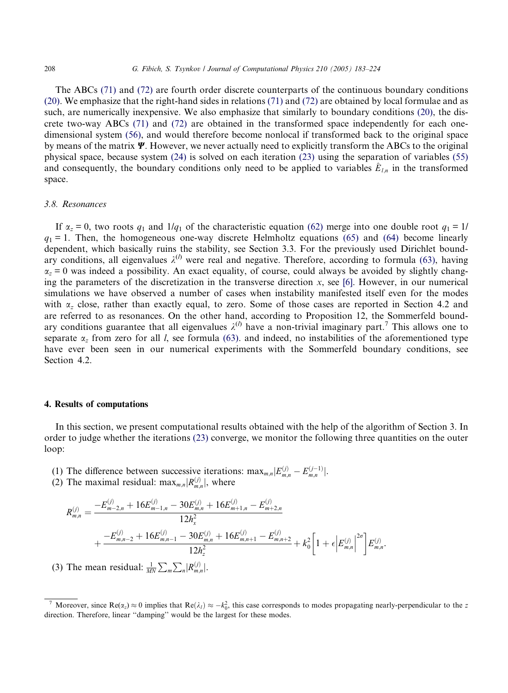The ABCs [\(71\)](#page-24-0) and [\(72\)](#page-24-0) are fourth order discrete counterparts of the continuous boundary conditions [\(20\)](#page-10-0). We emphasize that the right-hand sides in relations [\(71\)](#page-24-0) and [\(72\)](#page-24-0) are obtained by local formulae and as such, are numerically inexpensive. We also emphasize that similarly to boundary conditions [\(20\),](#page-10-0) the discrete two-way ABCs [\(71\)](#page-24-0) and [\(72\)](#page-24-0) are obtained in the transformed space independently for each onedimensional system [\(56\)](#page-20-0), and would therefore become nonlocal if transformed back to the original space by means of the matrix  $\Psi$ . However, we never actually need to explicitly transform the ABCs to the original physical space, because system [\(24\)](#page-11-0) is solved on each iteration [\(23\)](#page-11-0) using the separation of variables [\(55\)](#page-20-0) and consequently, the boundary conditions only need to be applied to variables  $E_{l,n}$  in the transformed space.

#### 3.8. Resonances

If  $\alpha_z = 0$ , two roots  $q_1$  and  $1/q_1$  of the characteristic equation [\(62\)](#page-22-0) merge into one double root  $q_1 = 1/$  $q_1 = 1$ . Then, the homogeneous one-way discrete Helmholtz equations [\(65\)](#page-22-0) and [\(64\)](#page-22-0) become linearly dependent, which basically ruins the stability, see Section 3.3. For the previously used Dirichlet boundary conditions, all eigenvalues  $\lambda^{(l)}$  were real and negative. Therefore, according to formula [\(63\)](#page-22-0), having  $\alpha_z = 0$  was indeed a possibility. An exact equality, of course, could always be avoided by slightly changing the parameters of the discretization in the transverse direction  $x$ , see [\[6\].](#page-40-0) However, in our numerical simulations we have observed a number of cases when instability manifested itself even for the modes with  $\alpha$ <sub>z</sub> close, rather than exactly equal, to zero. Some of those cases are reported in Section 4.2 and are referred to as resonances. On the other hand, according to Proposition 12, the Sommerfeld boundary conditions guarantee that all eigenvalues  $\lambda^{(l)}$  have a non-trivial imaginary part.<sup>7</sup> This allows one to separate  $\alpha$ , from zero for all l, see formula (63), and indeed, no instabilities of the aforementioned type have ever been seen in our numerical experiments with the Sommerfeld boundary conditions, see Section 4.2.

#### 4. Results of computations

In this section, we present computational results obtained with the help of the algorithm of Section 3. In order to judge whether the iterations [\(23\)](#page-11-0) converge, we monitor the following three quantities on the outer loop:

- (1) The difference between successive iterations:  $\max_{m,n} |E_{m,n}^{(j)} E_{m,n}^{(j-1)}|$ .
- (2) The maximal residual:  $\max_{m,n}|R_{m,n}^{(j)}|$ , where

$$
R_{m,n}^{(j)} = \frac{-E_{m-2,n}^{(j)} + 16E_{m-1,n}^{(j)} - 30E_{m,n}^{(j)} + 16E_{m+1,n}^{(j)} - E_{m+2,n}^{(j)}}{12h_x^2} + \frac{-E_{m,n-2}^{(j)} + 16E_{m,n-1}^{(j)} - 30E_{m,n}^{(j)} + 16E_{m,n+1}^{(j)} - E_{m,n+2}^{(j)}}{12h_z^2} + k_0^2 \left[1 + \epsilon \left|E_{m,n}^{(j)}\right|^{2\sigma}\right] E_{m,n}^{(j)}.
$$

(3) The mean residual:  $\frac{1}{MN} \sum_{m} \sum_{n} |R_{m,n}^{(j)}|$ .

<sup>&</sup>lt;sup>7</sup> Moreover, since Re( $\alpha_z$ )  $\approx$  0 implies that Re( $\lambda_l$ )  $\approx$  - $k_0^2$ , this case corresponds to modes propagating nearly-perpendicular to the z direction. Therefore, linear ''damping'' would be the largest for these modes.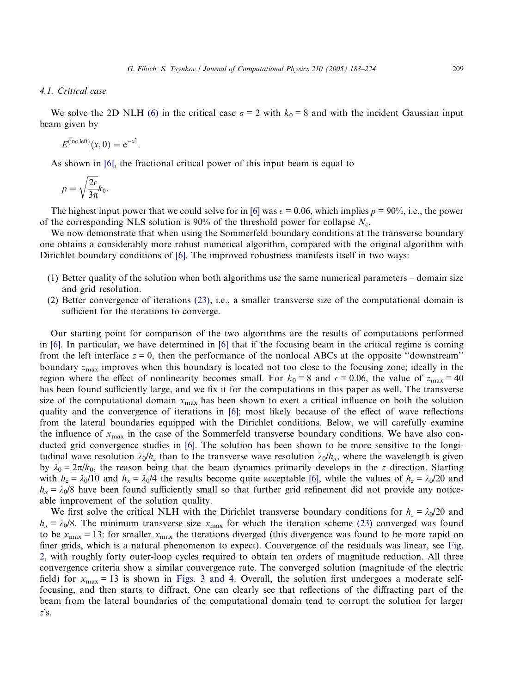# 4.1. Critical case

We solve the 2D NLH [\(6\)](#page-6-0) in the critical case  $\sigma = 2$  with  $k_0 = 8$  and with the incident Gaussian input beam given by

$$
E^{(\text{inc},\text{left})}(x,0) = e^{-x^2}.
$$

As shown in [\[6\]](#page-40-0), the fractional critical power of this input beam is equal to

$$
p = \sqrt{\frac{2\epsilon}{3\pi}}k_0.
$$

The highest input power that we could solve for in [\[6\]](#page-40-0) was  $\epsilon = 0.06$ , which implies  $p = 90\%$ , i.e., the power of the corresponding NLS solution is 90% of the threshold power for collapse  $N_c$ .

We now demonstrate that when using the Sommerfeld boundary conditions at the transverse boundary one obtains a considerably more robust numerical algorithm, compared with the original algorithm with Dirichlet boundary conditions of [\[6\].](#page-40-0) The improved robustness manifests itself in two ways:

- (1) Better quality of the solution when both algorithms use the same numerical parameters domain size and grid resolution.
- (2) Better convergence of iterations [\(23\),](#page-11-0) i.e., a smaller transverse size of the computational domain is sufficient for the iterations to converge.

Our starting point for comparison of the two algorithms are the results of computations performed in [\[6\].](#page-40-0) In particular, we have determined in [\[6\]](#page-40-0) that if the focusing beam in the critical regime is coming from the left interface  $z = 0$ , then the performance of the nonlocal ABCs at the opposite "downstream" boundary  $z_{\text{max}}$  improves when this boundary is located not too close to the focusing zone; ideally in the region where the effect of nonlinearity becomes small. For  $k_0 = 8$  and  $\epsilon = 0.06$ , the value of  $z_{\text{max}} = 40$ has been found sufficiently large, and we fix it for the computations in this paper as well. The transverse size of the computational domain  $x_{\text{max}}$  has been shown to exert a critical influence on both the solution quality and the convergence of iterations in [\[6\];](#page-40-0) most likely because of the effect of wave reflections from the lateral boundaries equipped with the Dirichlet conditions. Below, we will carefully examine the influence of  $x_{\text{max}}$  in the case of the Sommerfeld transverse boundary conditions. We have also conducted grid convergence studies in [\[6\].](#page-40-0) The solution has been shown to be more sensitive to the longitudinal wave resolution  $\lambda_0/h_z$  than to the transverse wave resolution  $\lambda_0/h_x$ , where the wavelength is given by  $\lambda_0 = 2\pi/k_0$ , the reason being that the beam dynamics primarily develops in the z direction. Starting with  $h_z = \lambda_0/10$  and  $h_x = \lambda_0/4$  the results become quite acceptable [\[6\],](#page-40-0) while the values of  $h_z = \lambda_0/20$  and  $h_x = \lambda_0/8$  have been found sufficiently small so that further grid refinement did not provide any noticeable improvement of the solution quality.

We first solve the critical NLH with the Dirichlet transverse boundary conditions for  $h_z = \lambda_0/20$  and  $h_x = \lambda_0/8$ . The minimum transverse size  $x_{\text{max}}$  for which the iteration scheme [\(23\)](#page-11-0) converged was found to be  $x_{\text{max}} = 13$ ; for smaller  $x_{\text{max}}$  the iterations diverged (this divergence was found to be more rapid on finer grids, which is a natural phenomenon to expect). Convergence of the residuals was linear, see [Fig.](#page-27-0) [2,](#page-27-0) with roughly forty outer-loop cycles required to obtain ten orders of magnitude reduction. All three convergence criteria show a similar convergence rate. The converged solution (magnitude of the electric field) for  $x_{\text{max}} = 13$  is shown in [Figs. 3 and 4.](#page-27-0) Overall, the solution first undergoes a moderate selffocusing, and then starts to diffract. One can clearly see that reflections of the diffracting part of the beam from the lateral boundaries of the computational domain tend to corrupt the solution for larger  $z$ 's.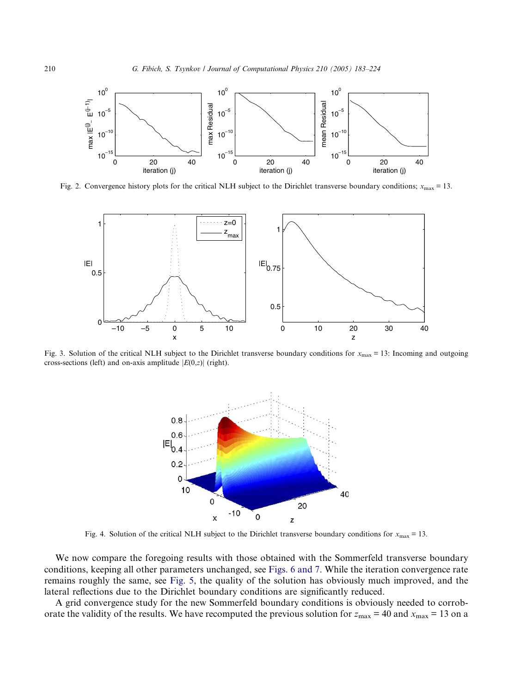<span id="page-27-0"></span>

Fig. 2. Convergence history plots for the critical NLH subject to the Dirichlet transverse boundary conditions;  $x_{\text{max}} = 13$ .



Fig. 3. Solution of the critical NLH subject to the Dirichlet transverse boundary conditions for  $x_{\text{max}} = 13$ : Incoming and outgoing cross-sections (left) and on-axis amplitude  $|E(0,z)|$  (right).



Fig. 4. Solution of the critical NLH subject to the Dirichlet transverse boundary conditions for  $x_{\text{max}} = 13$ .

We now compare the foregoing results with those obtained with the Sommerfeld transverse boundary conditions, keeping all other parameters unchanged, see [Figs. 6 and 7.](#page-28-0) While the iteration convergence rate remains roughly the same, see [Fig. 5,](#page-28-0) the quality of the solution has obviously much improved, and the lateral reflections due to the Dirichlet boundary conditions are significantly reduced.

A grid convergence study for the new Sommerfeld boundary conditions is obviously needed to corroborate the validity of the results. We have recomputed the previous solution for  $z_{\text{max}} = 40$  and  $x_{\text{max}} = 13$  on a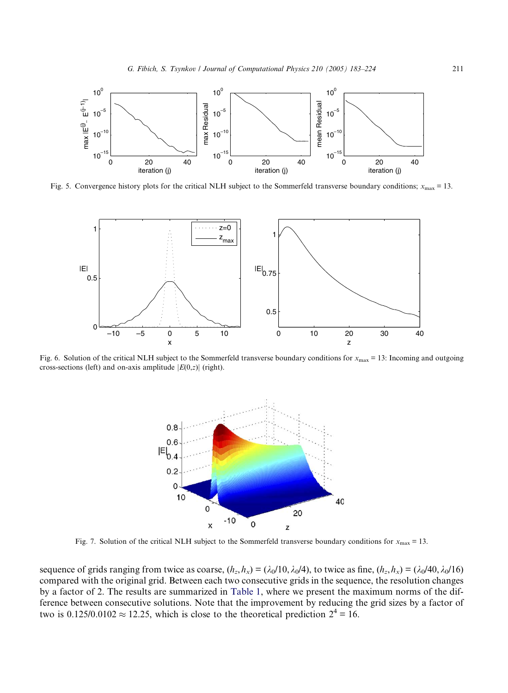<span id="page-28-0"></span>

Fig. 5. Convergence history plots for the critical NLH subject to the Sommerfeld transverse boundary conditions;  $x_{\text{max}} = 13$ .



Fig. 6. Solution of the critical NLH subject to the Sommerfeld transverse boundary conditions for  $x_{\text{max}} = 13$ : Incoming and outgoing cross-sections (left) and on-axis amplitude  $|E(0,z)|$  (right).



Fig. 7. Solution of the critical NLH subject to the Sommerfeld transverse boundary conditions for  $x_{\text{max}} = 13$ .

sequence of grids ranging from twice as coarse,  $(h_z, h_x) = (\lambda_0/10, \lambda_0/4)$ , to twice as fine,  $(h_z, h_x) = (\lambda_0/40, \lambda_0/16)$ compared with the original grid. Between each two consecutive grids in the sequence, the resolution changes by a factor of 2. The results are summarized in [Table 1](#page-29-0), where we present the maximum norms of the difference between consecutive solutions. Note that the improvement by reducing the grid sizes by a factor of two is 0.125/0.0102  $\approx$  12.25, which is close to the theoretical prediction  $2^4 = 16$ .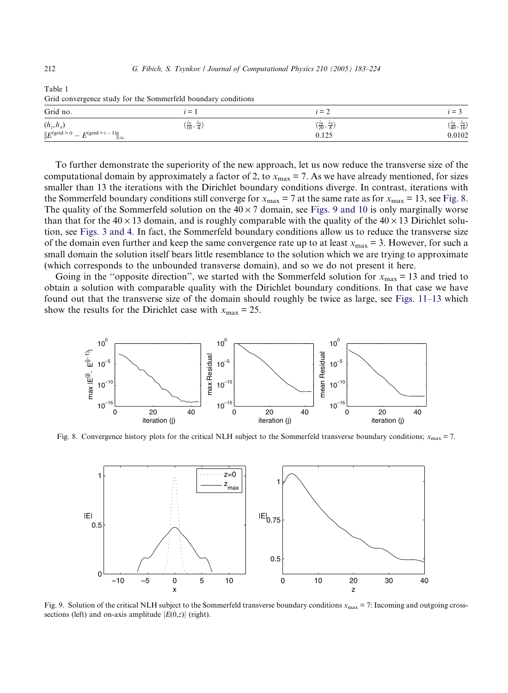| ີ                                                                                        |                                               |                                                        |                                                                     |
|------------------------------------------------------------------------------------------|-----------------------------------------------|--------------------------------------------------------|---------------------------------------------------------------------|
| Grid no.                                                                                 | $i \equiv 1$                                  | $i = 2$                                                | $i = 3$                                                             |
| $(h_z,h_x)$<br>$  E^{(\text{grid} > i)}  $<br>$= E^{(\text{grid} \geq i-1)}$<br>$\infty$ | $(\frac{\lambda_0}{10}, \frac{\lambda_0}{4})$ | $(\frac{\lambda_0}{20}, \frac{\lambda_0}{8})$<br>0.125 | $\left(\frac{\lambda_0}{40}, \frac{\lambda_0}{16}\right)$<br>0.0102 |

<span id="page-29-0"></span>Table 1 Grid convergence study for the Sommerfeld boundary conditions

To further demonstrate the superiority of the new approach, let us now reduce the transverse size of the computational domain by approximately a factor of 2, to  $x_{\text{max}} = 7$ . As we have already mentioned, for sizes smaller than 13 the iterations with the Dirichlet boundary conditions diverge. In contrast, iterations with the Sommerfeld boundary conditions still converge for  $x_{\text{max}} = 7$  at the same rate as for  $x_{\text{max}} = 13$ , see Fig. 8. The quality of the Sommerfeld solution on the  $40 \times 7$  domain, see Figs. 9 and 10 is only marginally worse than that for the  $40 \times 13$  domain, and is roughly comparable with the quality of the  $40 \times 13$  Dirichlet solution, see [Figs. 3 and 4](#page-27-0). In fact, the Sommerfeld boundary conditions allow us to reduce the transverse size of the domain even further and keep the same convergence rate up to at least  $x_{\text{max}} = 3$ . However, for such a small domain the solution itself bears little resemblance to the solution which we are trying to approximate (which corresponds to the unbounded transverse domain), and so we do not present it here.

Going in the "opposite direction", we started with the Sommerfeld solution for  $x_{\text{max}} = 13$  and tried to obtain a solution with comparable quality with the Dirichlet boundary conditions. In that case we have found out that the transverse size of the domain should roughly be twice as large, see [Figs. 11–13](#page-30-0) which show the results for the Dirichlet case with  $x_{\text{max}} = 25$ .



Fig. 8. Convergence history plots for the critical NLH subject to the Sommerfeld transverse boundary conditions;  $x_{\text{max}} = 7$ .



Fig. 9. Solution of the critical NLH subject to the Sommerfeld transverse boundary conditions  $x_{\text{max}} = 7$ : Incoming and outgoing crosssections (left) and on-axis amplitude  $|E(0,z)|$  (right).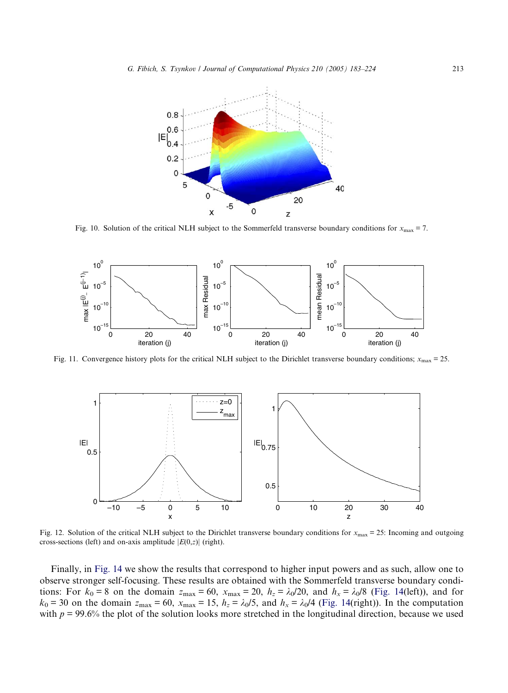<span id="page-30-0"></span>

Fig. 10. Solution of the critical NLH subject to the Sommerfeld transverse boundary conditions for  $x_{\text{max}} = 7$ .



Fig. 11. Convergence history plots for the critical NLH subject to the Dirichlet transverse boundary conditions;  $x_{\text{max}} = 25$ .



Fig. 12. Solution of the critical NLH subject to the Dirichlet transverse boundary conditions for  $x_{\text{max}} = 25$ : Incoming and outgoing cross-sections (left) and on-axis amplitude  $|E(0,z)|$  (right).

Finally, in [Fig. 14](#page-31-0) we show the results that correspond to higher input powers and as such, allow one to observe stronger self-focusing. These results are obtained with the Sommerfeld transverse boundary conditions: For  $k_0 = 8$  on the domain  $z_{\text{max}} = 60$ ,  $x_{\text{max}} = 20$ ,  $h_z = \lambda_0/20$ , and  $h_x = \lambda_0/8$  [\(Fig. 14\(](#page-31-0)left)), and for  $k_0 = 30$  on the domain  $z_{\text{max}} = 60$ ,  $x_{\text{max}} = 15$ ,  $h_z = \lambda_0/5$ , and  $h_x = \lambda_0/4$  ([Fig. 14\(](#page-31-0)right)). In the computation with  $p = 99.6\%$  the plot of the solution looks more stretched in the longitudinal direction, because we used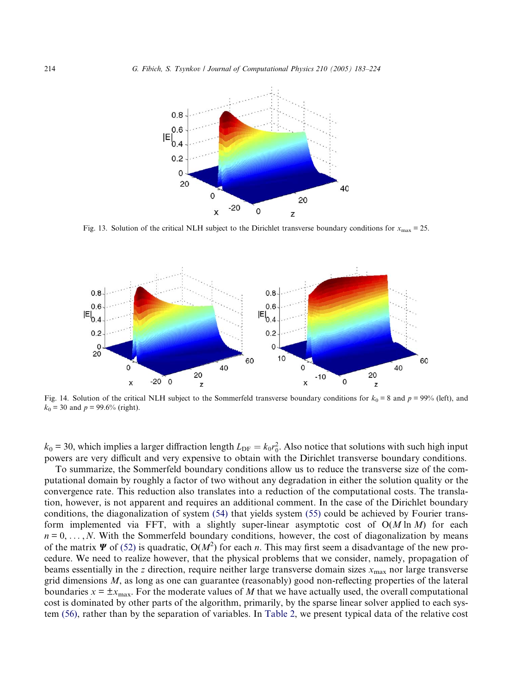<span id="page-31-0"></span>

Fig. 13. Solution of the critical NLH subject to the Dirichlet transverse boundary conditions for  $x_{\text{max}} = 25$ .



Fig. 14. Solution of the critical NLH subject to the Sommerfeld transverse boundary conditions for  $k_0 = 8$  and  $p = 99%$  (left), and  $k_0$  = 30 and  $p = 99.6%$  (right).

 $k_0 = 30$ , which implies a larger diffraction length  $L_{\text{DF}} = k_0 r_0^2$ . Also notice that solutions with such high input powers are very difficult and very expensive to obtain with the Dirichlet transverse boundary conditions.

To summarize, the Sommerfeld boundary conditions allow us to reduce the transverse size of the computational domain by roughly a factor of two without any degradation in either the solution quality or the convergence rate. This reduction also translates into a reduction of the computational costs. The translation, however, is not apparent and requires an additional comment. In the case of the Dirichlet boundary conditions, the diagonalization of system [\(54\)](#page-20-0) that yields system [\(55\)](#page-20-0) could be achieved by Fourier transform implemented via FFT, with a slightly super-linear asymptotic cost of  $O(M \ln M)$  for each  $n = 0, \ldots, N$ . With the Sommerfeld boundary conditions, however, the cost of diagonalization by means of the matrix  $\Psi$  of [\(52\)](#page-19-0) is quadratic,  $O(M^2)$  for each *n*. This may first seem a disadvantage of the new procedure. We need to realize however, that the physical problems that we consider, namely, propagation of beams essentially in the z direction, require neither large transverse domain sizes  $x_{\text{max}}$  nor large transverse grid dimensions M, as long as one can guarantee (reasonably) good non-reflecting properties of the lateral boundaries  $x = \pm x_{\text{max}}$ . For the moderate values of M that we have actually used, the overall computational cost is dominated by other parts of the algorithm, primarily, by the sparse linear solver applied to each system [\(56\),](#page-20-0) rather than by the separation of variables. In [Table 2,](#page-32-0) we present typical data of the relative cost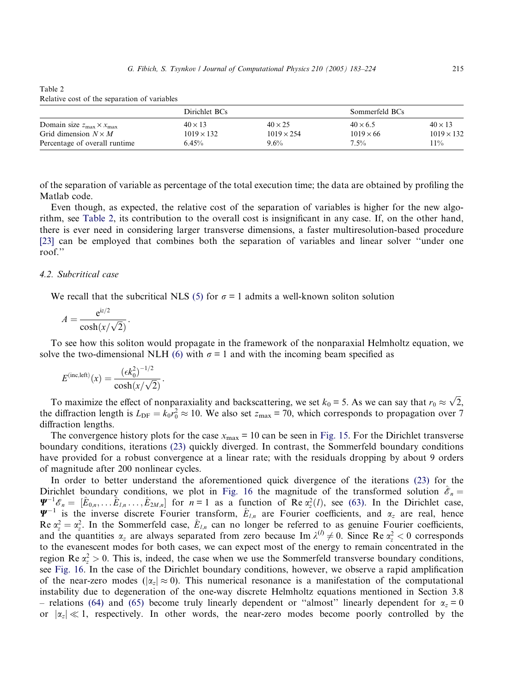| Domain size $z_{\text{max}} \times x_{\text{max}}$<br>Grid dimension $N \times M$ | Dirichlet BCs                       |                                     | Sommerfeld BCs                      |                                     |
|-----------------------------------------------------------------------------------|-------------------------------------|-------------------------------------|-------------------------------------|-------------------------------------|
|                                                                                   | $40 \times 13$<br>$1019 \times 132$ | $40 \times 25$<br>$1019 \times 254$ | $40 \times 6.5$<br>$1019 \times 66$ | $40 \times 13$<br>$1019 \times 132$ |
| Percentage of overall runtime                                                     | 6.45%                               | $9.6\%$                             | $7.5\%$                             | $11\%$                              |

Relative cost of the separation of variables

<span id="page-32-0"></span>Table 2

of the separation of variable as percentage of the total execution time; the data are obtained by profiling the Matlab code.

Even though, as expected, the relative cost of the separation of variables is higher for the new algorithm, see Table 2, its contribution to the overall cost is insignificant in any case. If, on the other hand, there is ever need in considering larger transverse dimensions, a faster multiresolution-based procedure [\[23\]](#page-41-0) can be employed that combines both the separation of variables and linear solver ''under one roof.''

#### 4.2. Subcritical case

We recall that the subcritical NLS [\(5\)](#page-4-0) for  $\sigma = 1$  admits a well-known soliton solution

$$
A = \frac{e^{iz/2}}{\cosh(x/\sqrt{2})}.
$$

To see how this soliton would propagate in the framework of the nonparaxial Helmholtz equation, we solve the two-dimensional NLH [\(6\)](#page-6-0) with  $\sigma = 1$  and with the incoming beam specified as

$$
E^{(\text{inc},\text{left})}(x) = \frac{(\epsilon k_0^2)^{-1/2}}{\cosh(x/\sqrt{2})}.
$$

To maximize the effect of nonparaxiality and backscattering, we set  $k_0 = 5$ . As we can say that  $r_0 \approx \sqrt{2}$ , the diffraction length is  $L_{\text{DF}} = k_0 r_0^2 \approx 10$ . We also set  $z_{\text{max}} = 70$ , which corresponds to propagation over 7 diffraction lengths.

The convergence history plots for the case  $x_{\text{max}} = 10$  can be seen in [Fig. 15.](#page-33-0) For the Dirichlet transverse boundary conditions, iterations [\(23\)](#page-11-0) quickly diverged. In contrast, the Sommerfeld boundary conditions have provided for a robust convergence at a linear rate; with the residuals dropping by about 9 orders of magnitude after 200 nonlinear cycles.

In order to better understand the aforementioned quick divergence of the iterations [\(23\)](#page-11-0) for the Dirichlet boundary conditions, we plot in [Fig. 16](#page-34-0) the magnitude of the transformed solution  $\mathscr{E}_n =$  $\Psi^{-1} \mathscr{E}_n = [\hat{E}_{0,n}, \dots, \hat{E}_{l,n}, \dots, \hat{E}_{2M,n}]$  for  $n = 1$  as a function of Re  $\alpha_z^2(l)$ , see [\(63\)](#page-22-0). In the Dirichlet case,  $\Psi^{-1}$  is the inverse discrete Fourier transform,  $\hat{E}_{l,n}$  are Fourier coefficients, and  $\alpha_z$  are real, hence Re  $\alpha_z^2 = \alpha_z^2$ . In the Sommerfeld case,  $\hat{E}_{l,n}$  can no longer be referred to as genuine Fourier coefficients, and the quantities  $\alpha_z$  are always separated from zero because Im  $\lambda^{(l)} \neq 0$ . Since Re  $\alpha_z^2 < 0$  corresponds to the evanescent modes for both cases, we can expect most of the energy to remain concentrated in the region Re  $\alpha_z^2 > 0$ . This is, indeed, the case when we use the Sommerfeld transverse boundary conditions, see [Fig. 16](#page-34-0). In the case of the Dirichlet boundary conditions, however, we observe a rapid amplification of the near-zero modes ( $|\alpha_z| \approx 0$ ). This numerical resonance is a manifestation of the computational instability due to degeneration of the one-way discrete Helmholtz equations mentioned in Section 3.8 – relations [\(64\)](#page-22-0) and [\(65\)](#page-22-0) become truly linearly dependent or "almost" linearly dependent for  $\alpha_z = 0$ or  $|\alpha_z| \ll 1$ , respectively. In other words, the near-zero modes become poorly controlled by the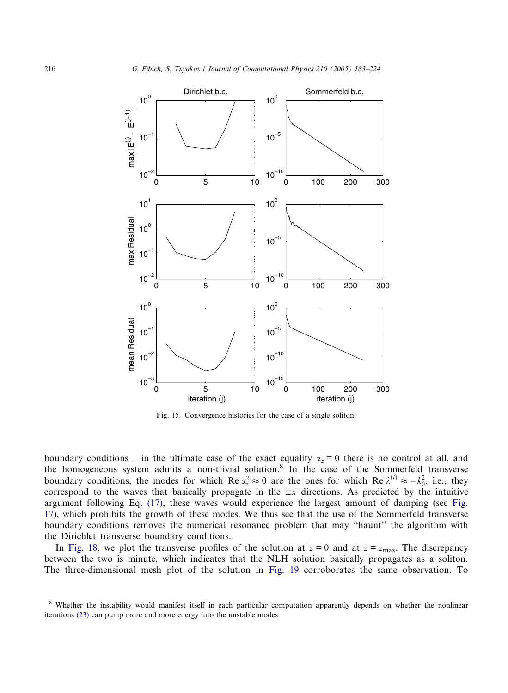<span id="page-33-0"></span>

Fig. 15. Convergence histories for the case of a single soliton.

boundary conditions – in the ultimate case of the exact equality  $\alpha_z = 0$  there is no control at all, and the homogeneous system admits a non-trivial solution.<sup>8</sup> In the case of the Sommerfeld transverse boundary conditions, the modes for which Re  $\alpha_z^2 \approx 0$  are the ones for which Re  $\lambda^{(l)} \approx -k_0^2$ , i.e., they correspond to the waves that basically propagate in the  $\pm x$  directions. As predicted by the intuitive argument following Eq. [\(17\)](#page-9-0), these waves would experience the largest amount of damping (see [Fig.](#page-34-0) [17](#page-34-0)), which prohibits the growth of these modes. We thus see that the use of the Sommerfeld transverse boundary conditions removes the numerical resonance problem that may ''haunt'' the algorithm with the Dirichlet transverse boundary conditions.

In [Fig. 18](#page-35-0), we plot the transverse profiles of the solution at  $z = 0$  and at  $z = z_{\text{max}}$ . The discrepancy between the two is minute, which indicates that the NLH solution basically propagates as a soliton. The three-dimensional mesh plot of the solution in [Fig. 19](#page-35-0) corroborates the same observation. To

<sup>&</sup>lt;sup>8</sup> Whether the instability would manifest itself in each particular computation apparently depends on whether the nonlinear iterations [\(23\)](#page-11-0) can pump more and more energy into the unstable modes.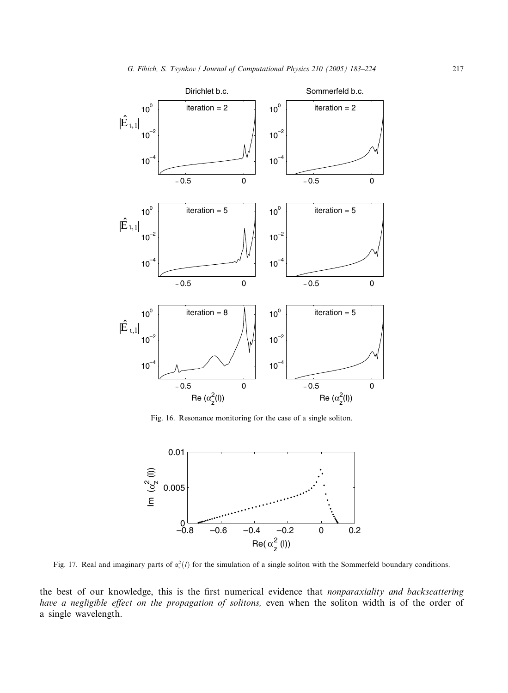<span id="page-34-0"></span>

Fig. 16. Resonance monitoring for the case of a single soliton.



Fig. 17. Real and imaginary parts of  $\alpha_z^2(l)$  for the simulation of a single soliton with the Sommerfeld boundary conditions.

the best of our knowledge, this is the first numerical evidence that nonparaxiality and backscattering have a negligible effect on the propagation of solitons, even when the soliton width is of the order of a single wavelength.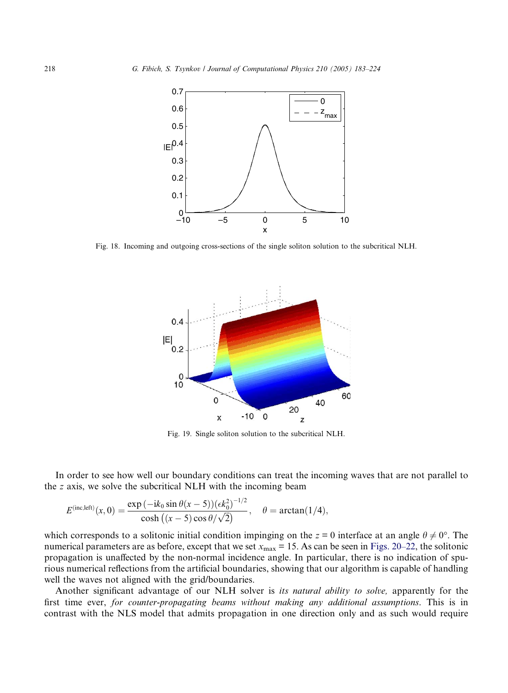<span id="page-35-0"></span>

Fig. 18. Incoming and outgoing cross-sections of the single soliton solution to the subcritical NLH.



Fig. 19. Single soliton solution to the subcritical NLH.

In order to see how well our boundary conditions can treat the incoming waves that are not parallel to the z axis, we solve the subcritical NLH with the incoming beam

$$
E^{(\text{inc},\text{left})}(x,0) = \frac{\exp{(-ik_0 \sin \theta(x-5)) (\epsilon k_0^2)^{-1/2}}}{\cosh ((x-5) \cos \theta / \sqrt{2})}, \quad \theta = \arctan(1/4),
$$

which corresponds to a solitonic initial condition impinging on the  $z = 0$  interface at an angle  $\theta \neq 0^{\circ}$ . The numerical parameters are as before, except that we set  $x_{\text{max}} = 15$ . As can be seen in [Figs. 20–22,](#page-36-0) the solitonic propagation is unaffected by the non-normal incidence angle. In particular, there is no indication of spurious numerical reflections from the artificial boundaries, showing that our algorithm is capable of handling well the waves not aligned with the grid/boundaries.

Another significant advantage of our NLH solver is *its natural ability to solve*, apparently for the first time ever, for counter-propagating beams without making any additional assumptions. This is in contrast with the NLS model that admits propagation in one direction only and as such would require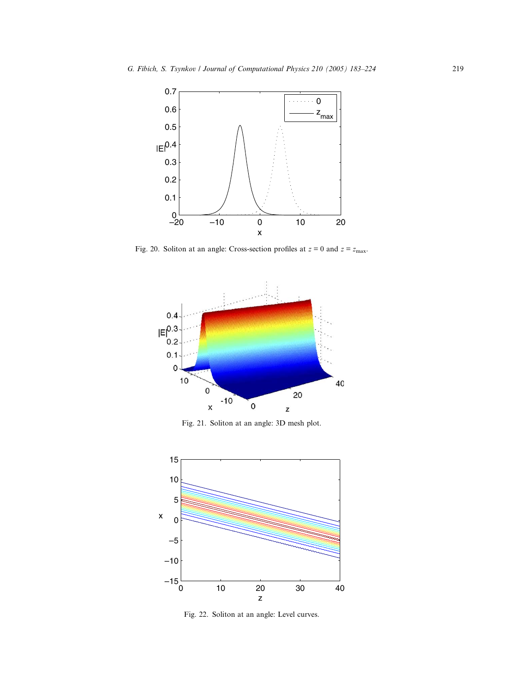<span id="page-36-0"></span>

Fig. 20. Soliton at an angle: Cross-section profiles at  $z = 0$  and  $z = z_{\text{max}}$ .



Fig. 21. Soliton at an angle: 3D mesh plot.



Fig. 22. Soliton at an angle: Level curves.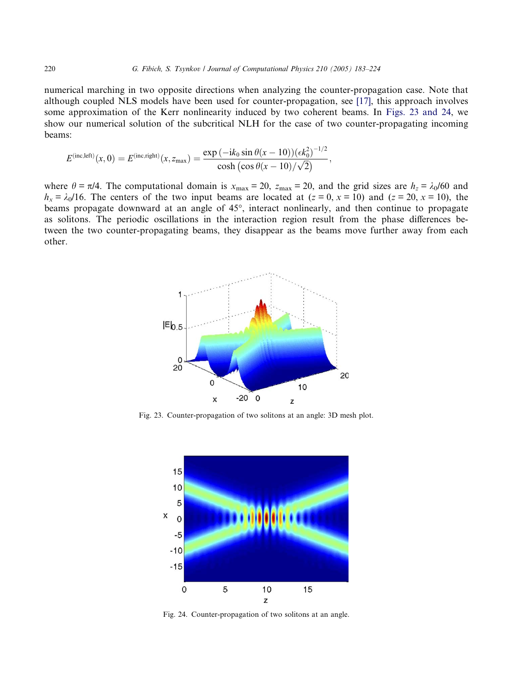numerical marching in two opposite directions when analyzing the counter-propagation case. Note that although coupled NLS models have been used for counter-propagation, see [\[17\]](#page-41-0), this approach involves some approximation of the Kerr nonlinearity induced by two coherent beams. In Figs. 23 and 24, we show our numerical solution of the subcritical NLH for the case of two counter-propagating incoming beams:

$$
E^{(\text{inc,left})}(x,0) = E^{(\text{inc,right})}(x,z_{\text{max}}) = \frac{\exp(-ik_0 \sin \theta (x-10))(\epsilon k_0^2)^{-1/2}}{\cosh(\cos \theta (x-10)/\sqrt{2})},
$$

where  $\theta = \pi/4$ . The computational domain is  $x_{\text{max}} = 20$ ,  $z_{\text{max}} = 20$ , and the grid sizes are  $h_z = \lambda_0/60$  and  $h_x = \lambda_0/16$ . The centers of the two input beams are located at  $(z = 0, x = 10)$  and  $(z = 20, x = 10)$ , the beams propagate downward at an angle of 45°, interact nonlinearly, and then continue to propagate as solitons. The periodic oscillations in the interaction region result from the phase differences between the two counter-propagating beams, they disappear as the beams move further away from each other.



Fig. 23. Counter-propagation of two solitons at an angle: 3D mesh plot.



Fig. 24. Counter-propagation of two solitons at an angle.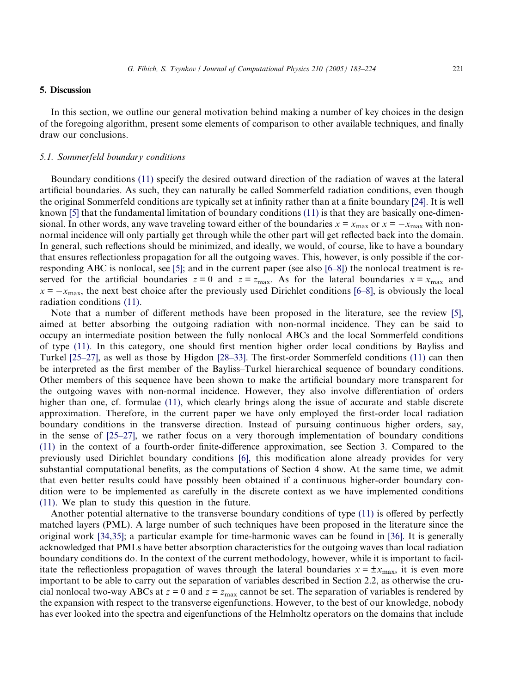## 5. Discussion

In this section, we outline our general motivation behind making a number of key choices in the design of the foregoing algorithm, present some elements of comparison to other available techniques, and finally draw our conclusions.

#### 5.1. Sommerfeld boundary conditions

Boundary conditions [\(11\)](#page-7-0) specify the desired outward direction of the radiation of waves at the lateral artificial boundaries. As such, they can naturally be called Sommerfeld radiation conditions, even though the original Sommerfeld conditions are typically set at infinity rather than at a finite boundary [\[24\]](#page-41-0). It is well known [\[5\]](#page-40-0) that the fundamental limitation of boundary conditions [\(11\)](#page-7-0) is that they are basically one-dimensional. In other words, any wave traveling toward either of the boundaries  $x = x_{\text{max}}$  or  $x = -x_{\text{max}}$  with nonnormal incidence will only partially get through while the other part will get reflected back into the domain. In general, such reflections should be minimized, and ideally, we would, of course, like to have a boundary that ensures reflectionless propagation for all the outgoing waves. This, however, is only possible if the corresponding ABC is nonlocal, see [\[5\];](#page-40-0) and in the current paper (see also [\[6–8\]\)](#page-40-0) the nonlocal treatment is reserved for the artificial boundaries  $z = 0$  and  $z = z_{\text{max}}$ . As for the lateral boundaries  $x = x_{\text{max}}$  and  $x = -x_{\text{max}}$ , the next best choice after the previously used Dirichlet conditions [\[6–8\],](#page-40-0) is obviously the local radiation conditions [\(11\)](#page-7-0).

Note that a number of different methods have been proposed in the literature, see the review [\[5\]](#page-40-0), aimed at better absorbing the outgoing radiation with non-normal incidence. They can be said to occupy an intermediate position between the fully nonlocal ABCs and the local Sommerfeld conditions of type [\(11\).](#page-7-0) In this category, one should first mention higher order local conditions by Bayliss and Turkel [\[25–27\]](#page-41-0), as well as those by Higdon [\[28–33\]](#page-41-0). The first-order Sommerfeld conditions [\(11\)](#page-7-0) can then be interpreted as the first member of the Bayliss–Turkel hierarchical sequence of boundary conditions. Other members of this sequence have been shown to make the artificial boundary more transparent for the outgoing waves with non-normal incidence. However, they also involve differentiation of orders higher than one, cf. formulae [\(11\)](#page-7-0), which clearly brings along the issue of accurate and stable discrete approximation. Therefore, in the current paper we have only employed the first-order local radiation boundary conditions in the transverse direction. Instead of pursuing continuous higher orders, say, in the sense of [\[25–27\],](#page-41-0) we rather focus on a very thorough implementation of boundary conditions [\(11\)](#page-7-0) in the context of a fourth-order finite-difference approximation, see Section 3. Compared to the previously used Dirichlet boundary conditions [\[6\]](#page-40-0), this modification alone already provides for very substantial computational benefits, as the computations of Section 4 show. At the same time, we admit that even better results could have possibly been obtained if a continuous higher-order boundary condition were to be implemented as carefully in the discrete context as we have implemented conditions [\(11\)](#page-7-0). We plan to study this question in the future.

Another potential alternative to the transverse boundary conditions of type [\(11\)](#page-7-0) is offered by perfectly matched layers (PML). A large number of such techniques have been proposed in the literature since the original work [\[34,35\];](#page-41-0) a particular example for time-harmonic waves can be found in [\[36\]](#page-41-0). It is generally acknowledged that PMLs have better absorption characteristics for the outgoing waves than local radiation boundary conditions do. In the context of the current methodology, however, while it is important to facilitate the reflectionless propagation of waves through the lateral boundaries  $x = \pm x_{\text{max}}$ , it is even more important to be able to carry out the separation of variables described in Section 2.2, as otherwise the crucial nonlocal two-way ABCs at  $z = 0$  and  $z = z_{\text{max}}$  cannot be set. The separation of variables is rendered by the expansion with respect to the transverse eigenfunctions. However, to the best of our knowledge, nobody has ever looked into the spectra and eigenfunctions of the Helmholtz operators on the domains that include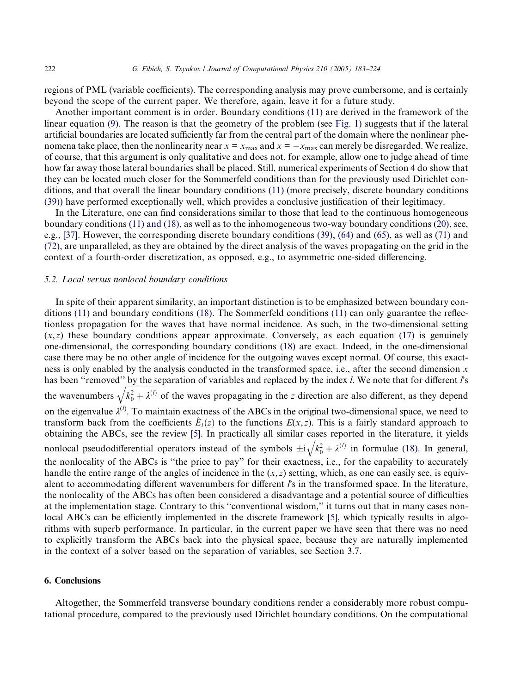regions of PML (variable coefficients). The corresponding analysis may prove cumbersome, and is certainly beyond the scope of the current paper. We therefore, again, leave it for a future study.

Another important comment is in order. Boundary conditions [\(11\)](#page-7-0) are derived in the framework of the linear equation [\(9\).](#page-6-0) The reason is that the geometry of the problem (see [Fig. 1](#page-2-0)) suggests that if the lateral artificial boundaries are located sufficiently far from the central part of the domain where the nonlinear phenomena take place, then the nonlinearity near  $x = x_{\text{max}}$  and  $x = -x_{\text{max}}$  can merely be disregarded. We realize, of course, that this argument is only qualitative and does not, for example, allow one to judge ahead of time how far away those lateral boundaries shall be placed. Still, numerical experiments of Section 4 do show that they can be located much closer for the Sommerfeld conditions than for the previously used Dirichlet conditions, and that overall the linear boundary conditions [\(11\)](#page-7-0) (more precisely, discrete boundary conditions [\(39\)](#page-13-0)) have performed exceptionally well, which provides a conclusive justification of their legitimacy.

In the Literature, one can find considerations similar to those that lead to the continuous homogeneous boundary conditions [\(11\) and \(18\)](#page-7-0), as well as to the inhomogeneous two-way boundary conditions [\(20\)](#page-10-0), see, e.g., [\[37\]](#page-41-0). However, the corresponding discrete boundary conditions [\(39\),](#page-13-0) [\(64\)](#page-22-0) and [\(65\)](#page-22-0), as well as [\(71\)](#page-24-0) and [\(72\)](#page-24-0), are unparalleled, as they are obtained by the direct analysis of the waves propagating on the grid in the context of a fourth-order discretization, as opposed, e.g., to asymmetric one-sided differencing.

## 5.2. Local versus nonlocal boundary conditions

In spite of their apparent similarity, an important distinction is to be emphasized between boundary conditions [\(11\)](#page-7-0) and boundary conditions [\(18\)](#page-9-0). The Sommerfeld conditions [\(11\)](#page-7-0) can only guarantee the reflectionless propagation for the waves that have normal incidence. As such, in the two-dimensional setting  $(x, z)$  these boundary conditions appear approximate. Conversely, as each equation [\(17\)](#page-9-0) is genuinely one-dimensional, the corresponding boundary conditions [\(18\)](#page-9-0) are exact. Indeed, in the one-dimensional case there may be no other angle of incidence for the outgoing waves except normal. Of course, this exactness is only enabled by the analysis conducted in the transformed space, i.e., after the second dimension  $x$ has been "removed" by the separation of variables and replaced by the index l. We note that for different  $l$ 's the wavenumbers  $\frac{\epsilon}{\epsilon}$  first  $\frac{\epsilon}{\epsilon}$  $k_0^2 + \lambda^{(l)}$  $\ddot{\phantom{a}}$ of the waves propagating in the z direction are also different, as they depend on the eigenvalue  $\lambda^{(l)}$ . To maintain exactness of the ABCs in the original two-dimensional space, we need to transform back from the coefficients  $E_l(z)$  to the functions  $E(x, z)$ . This is a fairly standard approach to obtaining the ABCs, see the review [\[5\].](#page-40-0) In practically all similar cases reported in the literature, it yields nonlocal pseudodifferential operators instead of the symbols  $\pm i$  $\frac{\text{cos}}{\text{cos}(\text{m})}$  $k_0^2 + \lambda^{(l)}$  $\frac{a}{a}$ in formulae [\(18\).](#page-9-0) In general, the nonlocality of the ABCs is ''the price to pay'' for their exactness, i.e., for the capability to accurately handle the entire range of the angles of incidence in the  $(x, z)$  setting, which, as one can easily see, is equivalent to accommodating different wavenumbers for different  $\ell$ s in the transformed space. In the literature, the nonlocality of the ABCs has often been considered a disadvantage and a potential source of difficulties at the implementation stage. Contrary to this ''conventional wisdom,'' it turns out that in many cases non-local ABCs can be efficiently implemented in the discrete framework [\[5\],](#page-40-0) which typically results in algorithms with superb performance. In particular, in the current paper we have seen that there was no need to explicitly transform the ABCs back into the physical space, because they are naturally implemented in the context of a solver based on the separation of variables, see Section 3.7.

## 6. Conclusions

Altogether, the Sommerfeld transverse boundary conditions render a considerably more robust computational procedure, compared to the previously used Dirichlet boundary conditions. On the computational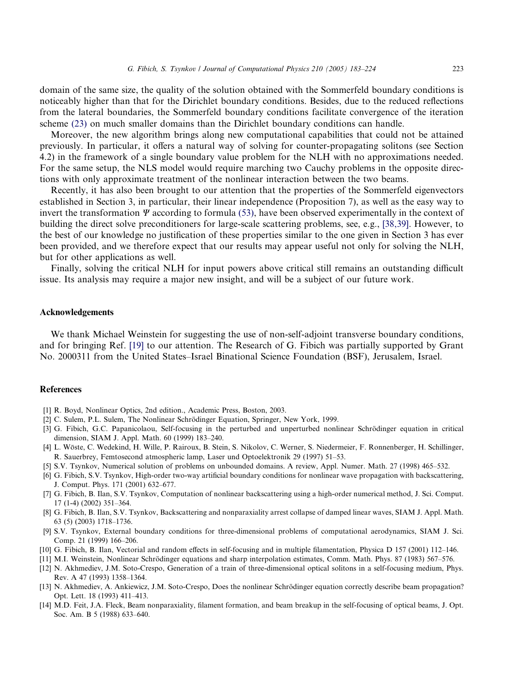<span id="page-40-0"></span>domain of the same size, the quality of the solution obtained with the Sommerfeld boundary conditions is noticeably higher than that for the Dirichlet boundary conditions. Besides, due to the reduced reflections from the lateral boundaries, the Sommerfeld boundary conditions facilitate convergence of the iteration scheme [\(23\)](#page-11-0) on much smaller domains than the Dirichlet boundary conditions can handle.

Moreover, the new algorithm brings along new computational capabilities that could not be attained previously. In particular, it offers a natural way of solving for counter-propagating solitons (see Section 4.2) in the framework of a single boundary value problem for the NLH with no approximations needed. For the same setup, the NLS model would require marching two Cauchy problems in the opposite directions with only approximate treatment of the nonlinear interaction between the two beams.

Recently, it has also been brought to our attention that the properties of the Sommerfeld eigenvectors established in Section 3, in particular, their linear independence (Proposition 7), as well as the easy way to invert the transformation  $\Psi$  according to formula [\(53\)](#page-19-0), have been observed experimentally in the context of building the direct solve preconditioners for large-scale scattering problems, see, e.g., [\[38,39\]](#page-41-0). However, to the best of our knowledge no justification of these properties similar to the one given in Section 3 has ever been provided, and we therefore expect that our results may appear useful not only for solving the NLH, but for other applications as well.

Finally, solving the critical NLH for input powers above critical still remains an outstanding difficult issue. Its analysis may require a major new insight, and will be a subject of our future work.

## Acknowledgements

We thank Michael Weinstein for suggesting the use of non-self-adjoint transverse boundary conditions, and for bringing Ref. [\[19\]](#page-41-0) to our attention. The Research of G. Fibich was partially supported by Grant No. 2000311 from the United States–Israel Binational Science Foundation (BSF), Jerusalem, Israel.

## References

- [1] R. Boyd, Nonlinear Optics, 2nd edition., Academic Press, Boston, 2003.
- [2] C. Sulem, P.L. Sulem, The Nonlinear Schrödinger Equation, Springer, New York, 1999.
- [3] G. Fibich, G.C. Papanicolaou, Self-focusing in the perturbed and unperturbed nonlinear Schrödinger equation in critical dimension, SIAM J. Appl. Math. 60 (1999) 183–240.
- [4] L. Wo¨ste, C. Wedekind, H. Wille, P. Rairoux, B. Stein, S. Nikolov, C. Werner, S. Niedermeier, F. Ronnenberger, H. Schillinger, R. Sauerbrey, Femtosecond atmospheric lamp, Laser und Optoelektronik 29 (1997) 51–53.
- [5] S.V. Tsynkov, Numerical solution of problems on unbounded domains. A review, Appl. Numer. Math. 27 (1998) 465–532.
- [6] G. Fibich, S.V. Tsynkov, High-order two-way artificial boundary conditions for nonlinear wave propagation with backscattering, J. Comput. Phys. 171 (2001) 632–677.
- [7] G. Fibich, B. Ilan, S.V. Tsynkov, Computation of nonlinear backscattering using a high-order numerical method, J. Sci. Comput. 17 (1-4) (2002) 351–364.
- [8] G. Fibich, B. Ilan, S.V. Tsynkov, Backscattering and nonparaxiality arrest collapse of damped linear waves, SIAM J. Appl. Math. 63 (5) (2003) 1718–1736.
- [9] S.V. Tsynkov, External boundary conditions for three-dimensional problems of computational aerodynamics, SIAM J. Sci. Comp. 21 (1999) 166–206.
- [10] G. Fibich, B. Ilan, Vectorial and random effects in self-focusing and in multiple filamentation, Physica D 157 (2001) 112–146.
- [11] M.I. Weinstein, Nonlinear Schrödinger equations and sharp interpolation estimates, Comm. Math. Phys. 87 (1983) 567–576.
- [12] N. Akhmediev, J.M. Soto-Crespo, Generation of a train of three-dimensional optical solitons in a self-focusing medium, Phys. Rev. A 47 (1993) 1358–1364.
- [13] N. Akhmediev, A. Ankiewicz, J.M. Soto-Crespo, Does the nonlinear Schrödinger equation correctly describe beam propagation? Opt. Lett. 18 (1993) 411–413.
- [14] M.D. Feit, J.A. Fleck, Beam nonparaxiality, filament formation, and beam breakup in the self-focusing of optical beams, J. Opt. Soc. Am. B 5 (1988) 633–640.